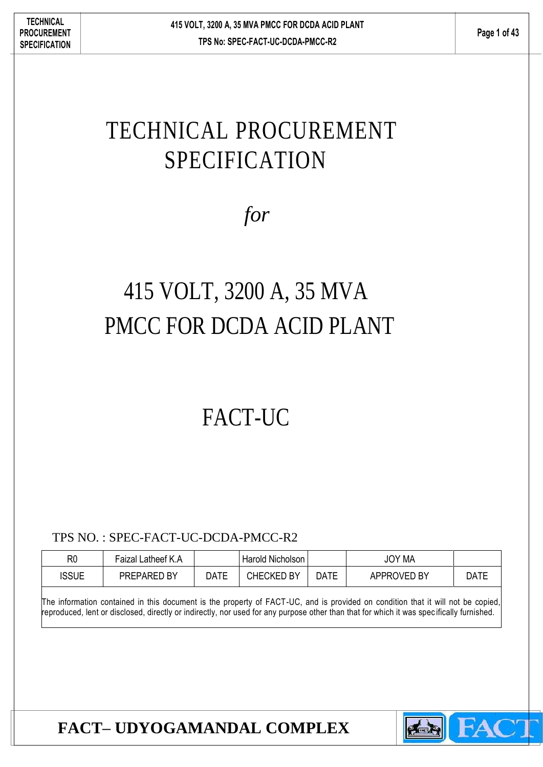# TECHNICAL PROCUREMENT SPECIFICATION

*for*

# 415 VOLT, 3200 A, 35 MVA PMCC FOR DCDA ACID PLANT

# FACT-UC

TPS NO. : SPEC-FACT-UC-DCDA-PMCC-R2

| R <sub>0</sub> | Faizal Latheef K.A    |      | Harold Nicholson |             | <b>JOY MA</b> |             |
|----------------|-----------------------|------|------------------|-------------|---------------|-------------|
| ISSUE          | BY<br><b>PREPARED</b> | DATE | CHECKED BY       | <b>DATE</b> | APPROVED BY   | <b>DATF</b> |

The information contained in this document is the property of FACT-UC, and is provided on condition that it will not be copied, reproduced, lent or disclosed, directly or indirectly, nor used for any purpose other than that for which it was spec ifically furnished.

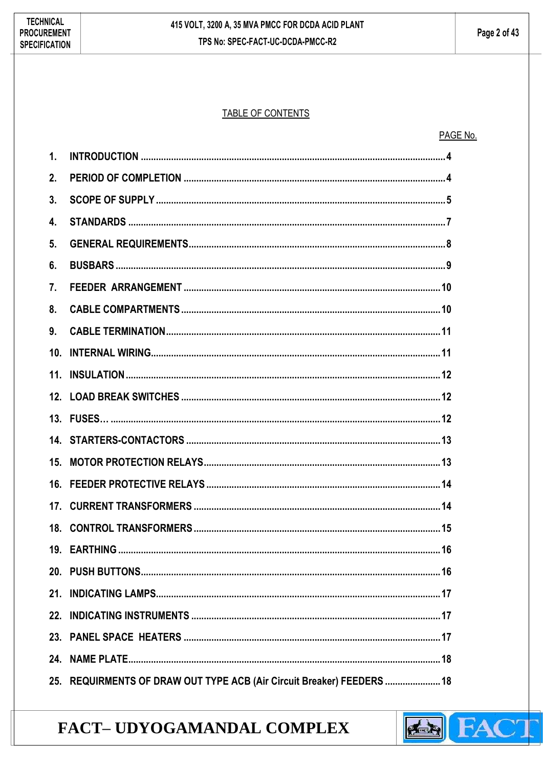#### TABLE OF CONTENTS

| PAGE No. |  |
|----------|--|
|          |  |

| $\mathbf{1}$ .   |  |
|------------------|--|
| 2.               |  |
| 3.               |  |
| $\overline{4}$ . |  |
| 5 <sub>1</sub>   |  |
| 6.               |  |
| 7 <sub>1</sub>   |  |
| 8.               |  |
| 9.               |  |
| 10.              |  |
|                  |  |
|                  |  |
|                  |  |
|                  |  |
|                  |  |
| 15.              |  |
| 16.              |  |
|                  |  |
|                  |  |
|                  |  |
|                  |  |
| 21.              |  |
| 22.              |  |
| 23.              |  |
| 24.              |  |

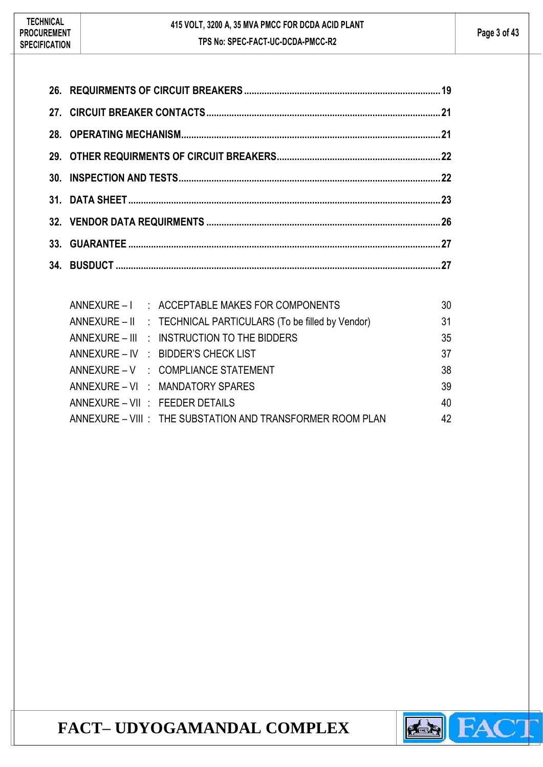|  | ANNEXURE - I : ACCEPTABLE MAKES FOR COMPONENTS                 | 30 |
|--|----------------------------------------------------------------|----|
|  | ANNEXURE - II : TECHNICAL PARTICULARS (To be filled by Vendor) | 31 |
|  | ANNEXURE – III : INSTRUCTION TO THE BIDDERS                    | 35 |
|  | ANNEXURE - IV : BIDDER'S CHECK LIST                            | 37 |
|  | ANNEXURE - V : COMPLIANCE STATEMENT                            | 38 |
|  | ANNEXURE - VI : MANDATORY SPARES                               | 39 |
|  | ANNEXURE - VII : FEEDER DETAILS                                | 40 |
|  | ANNEXURE - VIII : THE SUBSTATION AND TRANSFORMER ROOM PLAN     | 42 |

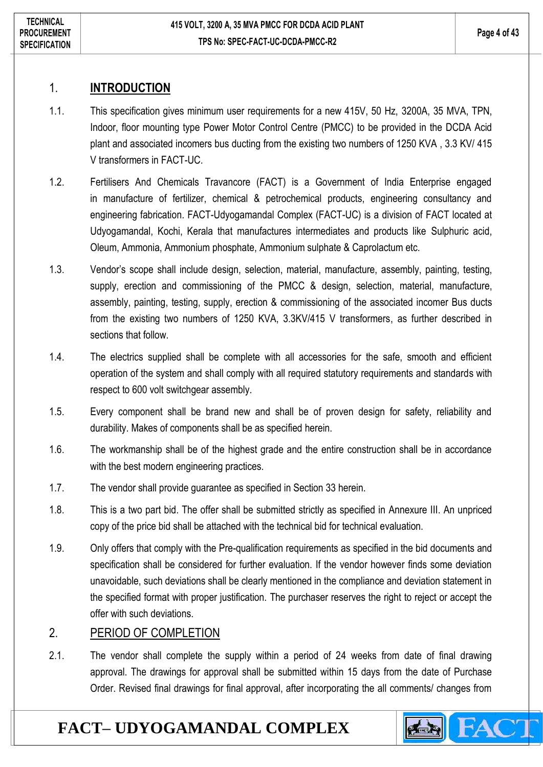### <span id="page-3-0"></span>1. **INTRODUCTION**

- 1.1. This specification gives minimum user requirements for a new 415V, 50 Hz, 3200A, 35 MVA, TPN, Indoor, floor mounting type Power Motor Control Centre (PMCC) to be provided in the DCDA Acid plant and associated incomers bus ducting from the existing two numbers of 1250 KVA , 3.3 KV/ 415 V transformers in FACT-UC.
- 1.2. Fertilisers And Chemicals Travancore (FACT) is a Government of India Enterprise engaged in manufacture of fertilizer, chemical & petrochemical products, engineering consultancy and engineering fabrication. FACT-Udyogamandal Complex (FACT-UC) is a division of FACT located at Udyogamandal, Kochi, Kerala that manufactures intermediates and products like Sulphuric acid, Oleum, Ammonia, Ammonium phosphate, Ammonium sulphate & Caprolactum etc.
- 1.3. Vendor's scope shall include design, selection, material, manufacture, assembly, painting, testing, supply, erection and commissioning of the PMCC & design, selection, material, manufacture, assembly, painting, testing, supply, erection & commissioning of the associated incomer Bus ducts from the existing two numbers of 1250 KVA, 3.3KV/415 V transformers, as further described in sections that follow.
- 1.4. The electrics supplied shall be complete with all accessories for the safe, smooth and efficient operation of the system and shall comply with all required statutory requirements and standards with respect to 600 volt switchgear assembly.
- 1.5. Every component shall be brand new and shall be of proven design for safety, reliability and durability. Makes of components shall be as specified herein.
- 1.6. The workmanship shall be of the highest grade and the entire construction shall be in accordance with the best modern engineering practices.
- 1.7. The vendor shall provide guarantee as specified in Section 33 herein.
- 1.8. This is a two part bid. The offer shall be submitted strictly as specified in Annexure III. An unpriced copy of the price bid shall be attached with the technical bid for technical evaluation.
- 1.9. Only offers that comply with the Pre-qualification requirements as specified in the bid documents and specification shall be considered for further evaluation. If the vendor however finds some deviation unavoidable, such deviations shall be clearly mentioned in the compliance and deviation statement in the specified format with proper justification. The purchaser reserves the right to reject or accept the offer with such deviations.

### <span id="page-3-1"></span>2. PERIOD OF COMPLETION

2.1. The vendor shall complete the supply within a period of 24 weeks from date of final drawing approval. The drawings for approval shall be submitted within 15 days from the date of Purchase Order. Revised final drawings for final approval, after incorporating the all comments/ changes from

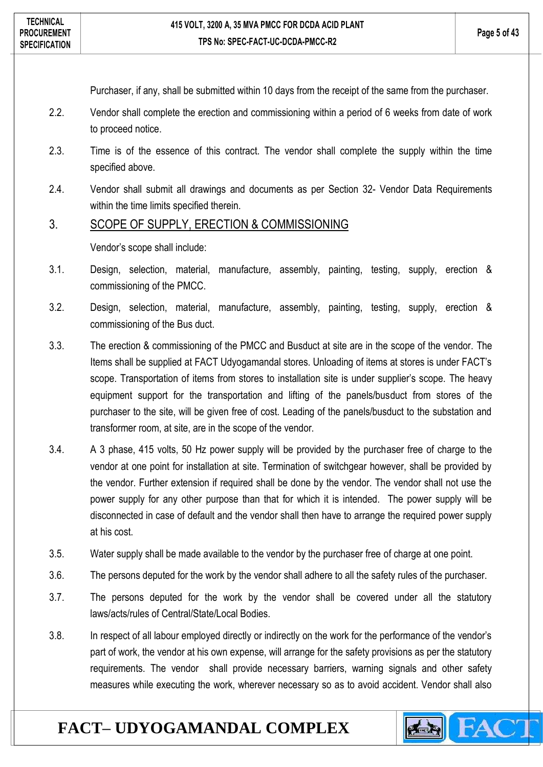Purchaser, if any, shall be submitted within 10 days from the receipt of the same from the purchaser.

- 2.2. Vendor shall complete the erection and commissioning within a period of 6 weeks from date of work to proceed notice.
- 2.3. Time is of the essence of this contract. The vendor shall complete the supply within the time specified above.
- 2.4. Vendor shall submit all drawings and documents as per Section 32- Vendor Data Requirements within the time limits specified therein.

#### <span id="page-4-0"></span>3. SCOPE OF SUPPLY, ERECTION & COMMISSIONING

Vendor's scope shall include:

- 3.1. Design, selection, material, manufacture, assembly, painting, testing, supply, erection & commissioning of the PMCC.
- 3.2. Design, selection, material, manufacture, assembly, painting, testing, supply, erection & commissioning of the Bus duct.
- 3.3. The erection & commissioning of the PMCC and Busduct at site are in the scope of the vendor. The Items shall be supplied at FACT Udyogamandal stores. Unloading of items at stores is under FACT's scope. Transportation of items from stores to installation site is under supplier's scope. The heavy equipment support for the transportation and lifting of the panels/busduct from stores of the purchaser to the site, will be given free of cost. Leading of the panels/busduct to the substation and transformer room, at site, are in the scope of the vendor.
- 3.4. A 3 phase, 415 volts, 50 Hz power supply will be provided by the purchaser free of charge to the vendor at one point for installation at site. Termination of switchgear however, shall be provided by the vendor. Further extension if required shall be done by the vendor. The vendor shall not use the power supply for any other purpose than that for which it is intended. The power supply will be disconnected in case of default and the vendor shall then have to arrange the required power supply at his cost.
- 3.5. Water supply shall be made available to the vendor by the purchaser free of charge at one point.
- 3.6. The persons deputed for the work by the vendor shall adhere to all the safety rules of the purchaser.
- 3.7. The persons deputed for the work by the vendor shall be covered under all the statutory laws/acts/rules of Central/State/Local Bodies.
- 3.8. In respect of all labour employed directly or indirectly on the work for the performance of the vendor's part of work, the vendor at his own expense, will arrange for the safety provisions as per the statutory requirements. The vendor shall provide necessary barriers, warning signals and other safety measures while executing the work, wherever necessary so as to avoid accident. Vendor shall also

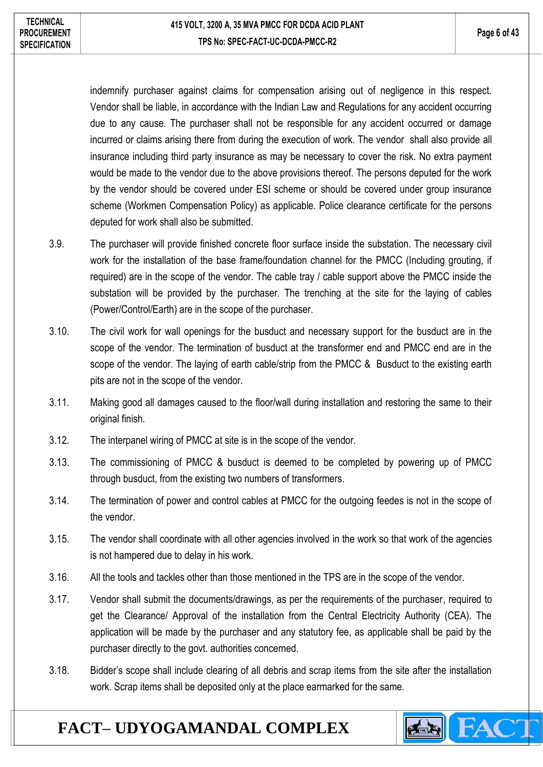indemnify purchaser against claims for compensation arising out of negligence in this respect. Vendor shall be liable, in accordance with the Indian Law and Regulations for any accident occurring due to any cause. The purchaser shall not be responsible for any accident occurred or damage incurred or claims arising there from during the execution of work. The vendor shall also provide all insurance including third party insurance as may be necessary to cover the risk. No extra payment would be made to the vendor due to the above provisions thereof. The persons deputed for the work by the vendor should be covered under ESI scheme or should be covered under group insurance scheme (Workmen Compensation Policy) as applicable. Police clearance certificate for the persons deputed for work shall also be submitted.

- 3.9. The purchaser will provide finished concrete floor surface inside the substation. The necessary civil work for the installation of the base frame/foundation channel for the PMCC (Including grouting, if required) are in the scope of the vendor. The cable tray / cable support above the PMCC inside the substation will be provided by the purchaser. The trenching at the site for the laying of cables (Power/Control/Earth) are in the scope of the purchaser.
- 3.10. The civil work for wall openings for the busduct and necessary support for the busduct are in the scope of the vendor. The termination of busduct at the transformer end and PMCC end are in the scope of the vendor. The laying of earth cable/strip from the PMCC & Busduct to the existing earth pits are not in the scope of the vendor.
- 3.11. Making good all damages caused to the floor/wall during installation and restoring the same to their original finish.
- 3.12. The interpanel wiring of PMCC at site is in the scope of the vendor.
- 3.13. The commissioning of PMCC & busduct is deemed to be completed by powering up of PMCC through busduct, from the existing two numbers of transformers.
- 3.14. The termination of power and control cables at PMCC for the outgoing feedes is not in the scope of the vendor.
- 3.15. The vendor shall coordinate with all other agencies involved in the work so that work of the agencies is not hampered due to delay in his work.
- 3.16. All the tools and tackles other than those mentioned in the TPS are in the scope of the vendor.
- 3.17. Vendor shall submit the documents/drawings, as per the requirements of the purchaser, required to get the Clearance/ Approval of the installation from the Central Electricity Authority (CEA). The application will be made by the purchaser and any statutory fee, as applicable shall be paid by the purchaser directly to the govt. authorities concerned.
- 3.18. Bidder's scope shall include clearing of all debris and scrap items from the site after the installation work. Scrap items shall be deposited only at the place earmarked for the same.

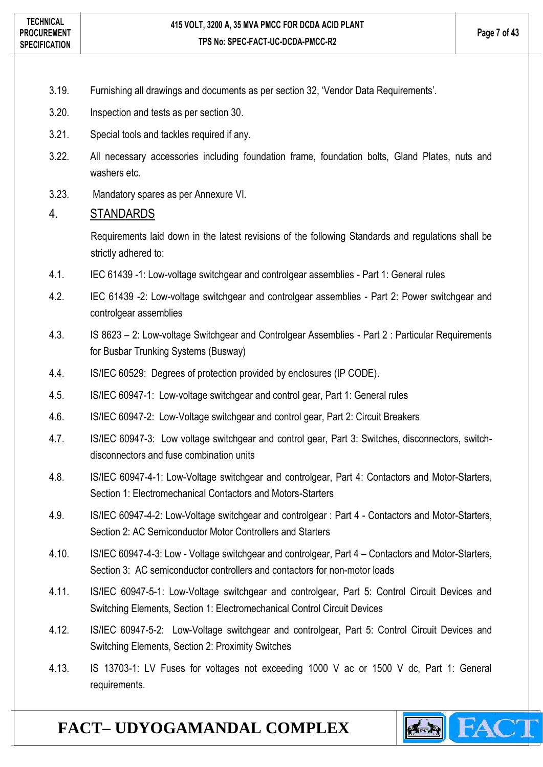- 3.19. Furnishing all drawings and documents as per section 32, 'Vendor Data Requirements'.
- 3.20. Inspection and tests as per section 30.
- 3.21. Special tools and tackles required if any.
- 3.22. All necessary accessories including foundation frame, foundation bolts, Gland Plates, nuts and washers etc.
- 3.23. Mandatory spares as per Annexure VI.

#### <span id="page-6-0"></span>4. STANDARDS

Requirements laid down in the latest revisions of the following Standards and regulations shall be strictly adhered to:

- 4.1. IEC 61439 -1: Low-voltage switchgear and controlgear assemblies Part 1: General rules
- 4.2. IEC 61439 -2: Low-voltage switchgear and controlgear assemblies Part 2: Power switchgear and controlgear assemblies
- 4.3. IS 8623 2: Low-voltage Switchgear and Controlgear Assemblies Part 2 : Particular Requirements for Busbar Trunking Systems (Busway)
- 4.4. IS/IEC 60529: Degrees of protection provided by enclosures (IP CODE).
- 4.5. IS/IEC 60947-1: Low-voltage switchgear and control gear, Part 1: General rules
- 4.6. IS/IEC 60947-2: Low-Voltage switchgear and control gear, Part 2: Circuit Breakers
- 4.7. IS/IEC 60947-3: Low voltage switchgear and control gear, Part 3: Switches, disconnectors, switchdisconnectors and fuse combination units
- 4.8. IS/IEC 60947-4-1: Low-Voltage switchgear and controlgear, Part 4: Contactors and Motor-Starters, Section 1: Electromechanical Contactors and Motors-Starters
- 4.9. IS/IEC 60947-4-2: Low-Voltage switchgear and controlgear : Part 4 Contactors and Motor-Starters, Section 2: AC Semiconductor Motor Controllers and Starters
- 4.10. IS/IEC 60947-4-3: Low Voltage switchgear and controlgear, Part 4 Contactors and Motor-Starters, Section 3: AC semiconductor controllers and contactors for non-motor loads
- 4.11. IS/IEC 60947-5-1: Low-Voltage switchgear and controlgear, Part 5: Control Circuit Devices and Switching Elements, Section 1: Electromechanical Control Circuit Devices
- 4.12. IS/IEC 60947-5-2: Low-Voltage switchgear and controlgear, Part 5: Control Circuit Devices and Switching Elements, Section 2: Proximity Switches
- 4.13. IS 13703-1: LV Fuses for voltages not exceeding 1000 V ac or 1500 V dc, Part 1: General requirements.

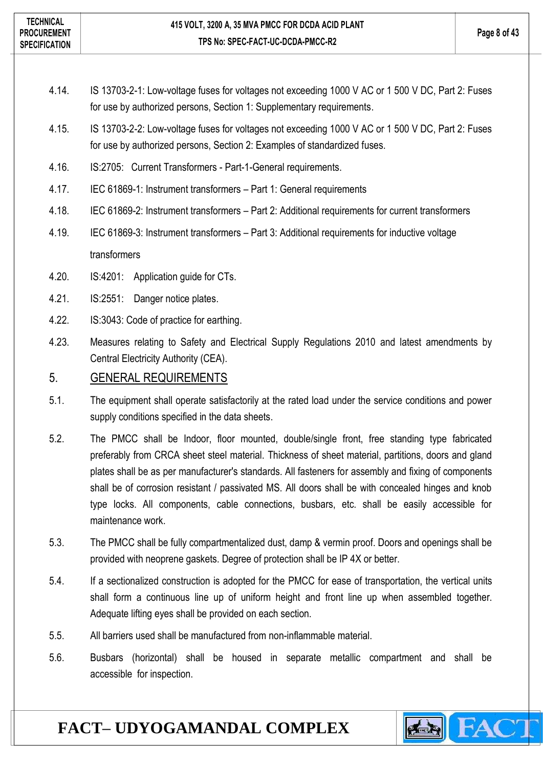- 4.14. IS 13703-2-1: Low-voltage fuses for voltages not exceeding 1000 V AC or 1 500 V DC, Part 2: Fuses for use by authorized persons, Section 1: Supplementary requirements.
- 4.15. IS 13703-2-2: Low-voltage fuses for voltages not exceeding 1000 V AC or 1 500 V DC, Part 2: Fuses for use by authorized persons, Section 2: Examples of standardized fuses.
- 4.16. IS:2705: Current Transformers Part-1-General requirements.
- 4.17. IEC 61869-1: Instrument transformers Part 1: General requirements
- 4.18. IEC 61869-2: Instrument transformers Part 2: Additional requirements for current transformers
- 4.19. IEC 61869-3: Instrument transformers Part 3: Additional requirements for inductive voltage transformers
- 4.20. IS:4201: Application guide for CTs.
- 4.21. IS:2551: Danger notice plates.
- 4.22. IS:3043: Code of practice for earthing.
- 4.23. Measures relating to Safety and Electrical Supply Regulations 2010 and latest amendments by Central Electricity Authority (CEA).

#### <span id="page-7-0"></span>5. GENERAL REQUIREMENTS

- 5.1. The equipment shall operate satisfactorily at the rated load under the service conditions and power supply conditions specified in the data sheets.
- 5.2. The PMCC shall be Indoor, floor mounted, double/single front, free standing type fabricated preferably from CRCA sheet steel material. Thickness of sheet material, partitions, doors and gland plates shall be as per manufacturer's standards. All fasteners for assembly and fixing of components shall be of corrosion resistant / passivated MS. All doors shall be with concealed hinges and knob type locks. All components, cable connections, busbars, etc. shall be easily accessible for maintenance work.
- 5.3. The PMCC shall be fully compartmentalized dust, damp & vermin proof. Doors and openings shall be provided with neoprene gaskets. Degree of protection shall be IP 4X or better.
- 5.4. If a sectionalized construction is adopted for the PMCC for ease of transportation, the vertical units shall form a continuous line up of uniform height and front line up when assembled together. Adequate lifting eyes shall be provided on each section.
- 5.5. All barriers used shall be manufactured from non-inflammable material.
- 5.6. Busbars (horizontal) shall be housed in separate metallic compartment and shall be accessible for inspection.

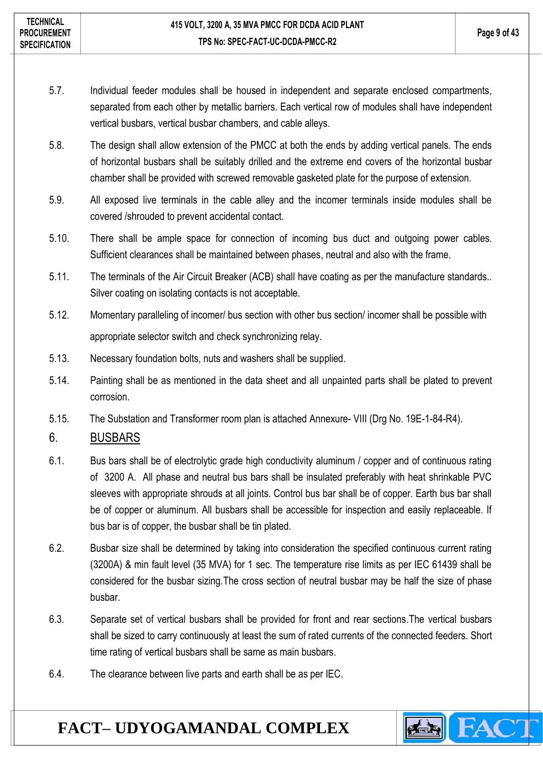- 5.7. Individual feeder modules shall be housed in independent and separate enclosed compartments, separated from each other by metallic barriers. Each vertical row of modules shall have independent vertical busbars, vertical busbar chambers, and cable alleys.
- 5.8. The design shall allow extension of the PMCC at both the ends by adding vertical panels. The ends of horizontal busbars shall be suitably drilled and the extreme end covers of the horizontal busbar chamber shall be provided with screwed removable gasketed plate for the purpose of extension.
- 5.9. All exposed live terminals in the cable alley and the incomer terminals inside modules shall be covered /shrouded to prevent accidental contact.
- 5.10. There shall be ample space for connection of incoming bus duct and outgoing power cables. Sufficient clearances shall be maintained between phases, neutral and also with the frame.
- 5.11. The terminals of the Air Circuit Breaker (ACB) shall have coating as per the manufacture standards.. Silver coating on isolating contacts is not acceptable.
- 5.12. Momentary paralleling of incomer/ bus section with other bus section/ incomer shall be possible with appropriate selector switch and check synchronizing relay.
- 5.13. Necessary foundation bolts, nuts and washers shall be supplied.
- 5.14. Painting shall be as mentioned in the data sheet and all unpainted parts shall be plated to prevent corrosion.
- 5.15. The Substation and Transformer room plan is attached Annexure- VIII (Drg No. 19E-1-84-R4).

### <span id="page-8-0"></span>6. BUSBARS

- 6.1. Bus bars shall be of electrolytic grade high conductivity aluminum / copper and of continuous rating of 3200 A. All phase and neutral bus bars shall be insulated preferably with heat shrinkable PVC sleeves with appropriate shrouds at all joints. Control bus bar shall be of copper. Earth bus bar shall be of copper or aluminum. All busbars shall be accessible for inspection and easily replaceable. If bus bar is of copper, the busbar shall be tin plated.
- 6.2. Busbar size shall be determined by taking into consideration the specified continuous current rating (3200A) & min fault level (35 MVA) for 1 sec. The temperature rise limits as per IEC 61439 shall be considered for the busbar sizing.The cross section of neutral busbar may be half the size of phase busbar.
- 6.3. Separate set of vertical busbars shall be provided for front and rear sections.The vertical busbars shall be sized to carry continuously at least the sum of rated currents of the connected feeders. Short time rating of vertical busbars shall be same as main busbars.
- 6.4. The clearance between live parts and earth shall be as per IEC.

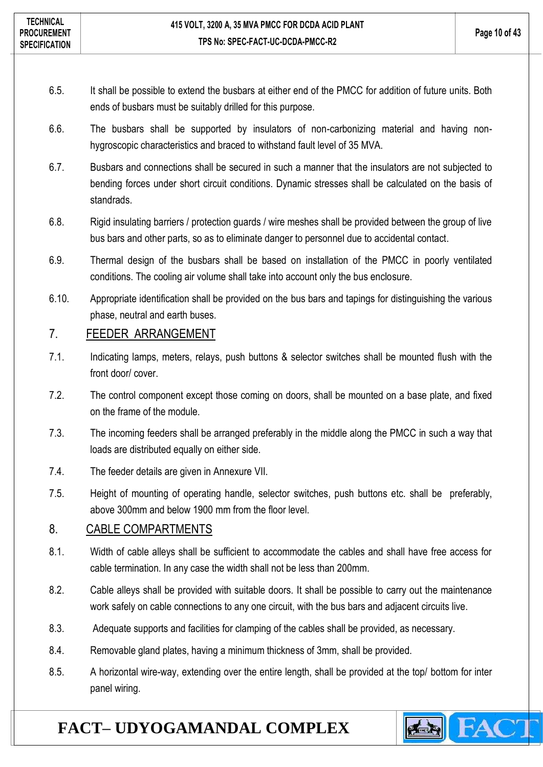- 6.5. It shall be possible to extend the busbars at either end of the PMCC for addition of future units. Both ends of busbars must be suitably drilled for this purpose.
- 6.6. The busbars shall be supported by insulators of non-carbonizing material and having nonhygroscopic characteristics and braced to withstand fault level of 35 MVA.
- 6.7. Busbars and connections shall be secured in such a manner that the insulators are not subjected to bending forces under short circuit conditions. Dynamic stresses shall be calculated on the basis of standrads.
- 6.8. Rigid insulating barriers / protection guards / wire meshes shall be provided between the group of live bus bars and other parts, so as to eliminate danger to personnel due to accidental contact.
- 6.9. Thermal design of the busbars shall be based on installation of the PMCC in poorly ventilated conditions. The cooling air volume shall take into account only the bus enclosure.
- 6.10. Appropriate identification shall be provided on the bus bars and tapings for distinguishing the various phase, neutral and earth buses.

### <span id="page-9-0"></span>7. FEEDER ARRANGEMENT

- 7.1. Indicating lamps, meters, relays, push buttons & selector switches shall be mounted flush with the front door/ cover.
- 7.2. The control component except those coming on doors, shall be mounted on a base plate, and fixed on the frame of the module.
- 7.3. The incoming feeders shall be arranged preferably in the middle along the PMCC in such a way that loads are distributed equally on either side.
- 7.4. The feeder details are given in Annexure VII.
- 7.5. Height of mounting of operating handle, selector switches, push buttons etc. shall be preferably, above 300mm and below 1900 mm from the floor level.

### <span id="page-9-1"></span>8. CABLE COMPARTMENTS

- 8.1. Width of cable alleys shall be sufficient to accommodate the cables and shall have free access for cable termination. In any case the width shall not be less than 200mm.
- 8.2. Cable alleys shall be provided with suitable doors. It shall be possible to carry out the maintenance work safely on cable connections to any one circuit, with the bus bars and adjacent circuits live.
- 8.3. Adequate supports and facilities for clamping of the cables shall be provided, as necessary.
- 8.4. Removable gland plates, having a minimum thickness of 3mm, shall be provided.
- 8.5. A horizontal wire-way, extending over the entire length, shall be provided at the top/ bottom for inter panel wiring.

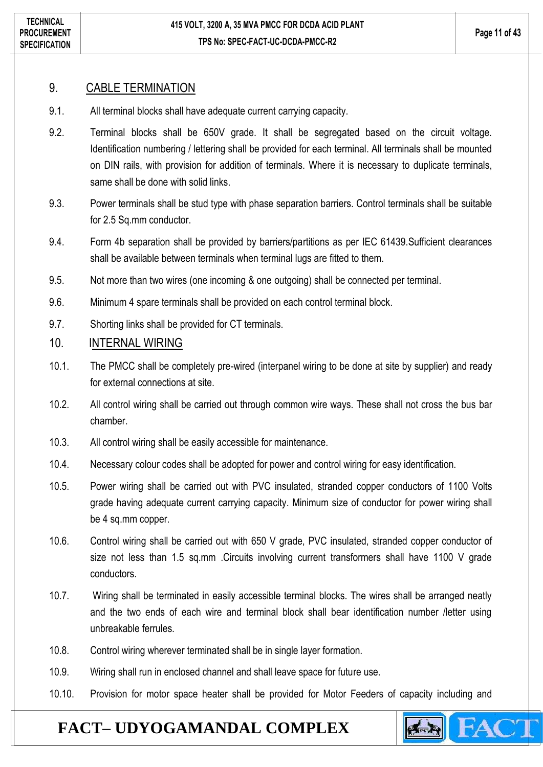#### <span id="page-10-0"></span>9. CABLE TERMINATION

- 9.1. All terminal blocks shall have adequate current carrying capacity.
- 9.2. Terminal blocks shall be 650V grade. It shall be segregated based on the circuit voltage. Identification numbering / lettering shall be provided for each terminal. All terminals shall be mounted on DIN rails, with provision for addition of terminals. Where it is necessary to duplicate terminals, same shall be done with solid links.
- 9.3. Power terminals shall be stud type with phase separation barriers. Control terminals shall be suitable for 2.5 Sq.mm conductor.
- 9.4. Form 4b separation shall be provided by barriers/partitions as per IEC 61439.Sufficient clearances shall be available between terminals when terminal lugs are fitted to them.
- 9.5. Not more than two wires (one incoming & one outgoing) shall be connected per terminal.
- 9.6. Minimum 4 spare terminals shall be provided on each control terminal block.
- 9.7. Shorting links shall be provided for CT terminals.

#### <span id="page-10-1"></span>10. INTERNAL WIRING

- 10.1. The PMCC shall be completely pre-wired (interpanel wiring to be done at site by supplier) and ready for external connections at site.
- 10.2. All control wiring shall be carried out through common wire ways. These shall not cross the bus bar chamber.
- 10.3. All control wiring shall be easily accessible for maintenance.
- 10.4. Necessary colour codes shall be adopted for power and control wiring for easy identification.
- 10.5. Power wiring shall be carried out with PVC insulated, stranded copper conductors of 1100 Volts grade having adequate current carrying capacity. Minimum size of conductor for power wiring shall be 4 sq.mm copper.
- 10.6. Control wiring shall be carried out with 650 V grade, PVC insulated, stranded copper conductor of size not less than 1.5 sq.mm .Circuits involving current transformers shall have 1100 V grade conductors.
- 10.7. Wiring shall be terminated in easily accessible terminal blocks. The wires shall be arranged neatly and the two ends of each wire and terminal block shall bear identification number /letter using unbreakable ferrules.
- 10.8. Control wiring wherever terminated shall be in single layer formation.
- 10.9. Wiring shall run in enclosed channel and shall leave space for future use.
- 10.10. Provision for motor space heater shall be provided for Motor Feeders of capacity including and

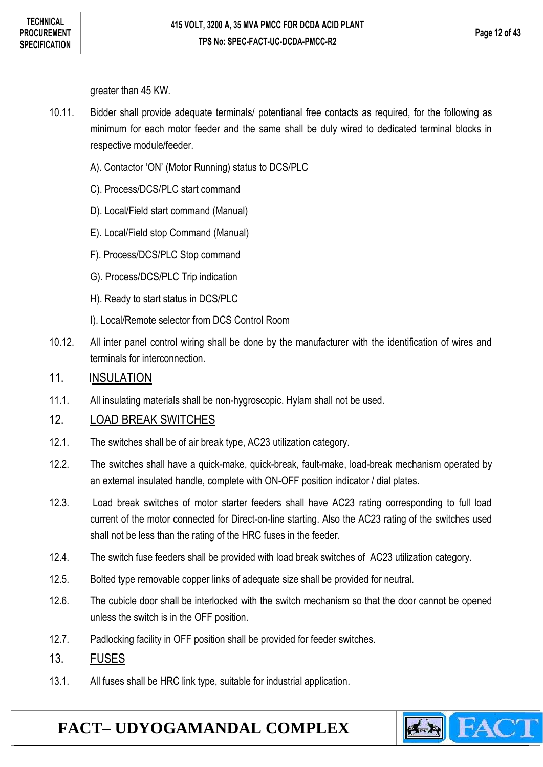greater than 45 KW.

- 10.11. Bidder shall provide adequate terminals/ potentianal free contacts as required, for the following as minimum for each motor feeder and the same shall be duly wired to dedicated terminal blocks in respective module/feeder.
	- A). Contactor 'ON' (Motor Running) status to DCS/PLC
	- C). Process/DCS/PLC start command
	- D). Local/Field start command (Manual)
	- E). Local/Field stop Command (Manual)
	- F). Process/DCS/PLC Stop command
	- G). Process/DCS/PLC Trip indication
	- H). Ready to start status in DCS/PLC
	- I). Local/Remote selector from DCS Control Room
- 10.12. All inter panel control wiring shall be done by the manufacturer with the identification of wires and terminals for interconnection.

#### <span id="page-11-0"></span>11. INSULATION

11.1. All insulating materials shall be non-hygroscopic. Hylam shall not be used.

### <span id="page-11-1"></span>12. LOAD BREAK SWITCHES

- 12.1. The switches shall be of air break type, AC23 utilization category.
- 12.2. The switches shall have a quick-make, quick-break, fault-make, load-break mechanism operated by an external insulated handle, complete with ON-OFF position indicator / dial plates.
- 12.3. Load break switches of motor starter feeders shall have AC23 rating corresponding to full load current of the motor connected for Direct-on-line starting. Also the AC23 rating of the switches used shall not be less than the rating of the HRC fuses in the feeder.
- 12.4. The switch fuse feeders shall be provided with load break switches of AC23 utilization category.
- 12.5. Bolted type removable copper links of adequate size shall be provided for neutral.
- 12.6. The cubicle door shall be interlocked with the switch mechanism so that the door cannot be opened unless the switch is in the OFF position.
- 12.7. Padlocking facility in OFF position shall be provided for feeder switches.
- <span id="page-11-2"></span>13. FUSES
- 13.1. All fuses shall be HRC link type, suitable for industrial application.

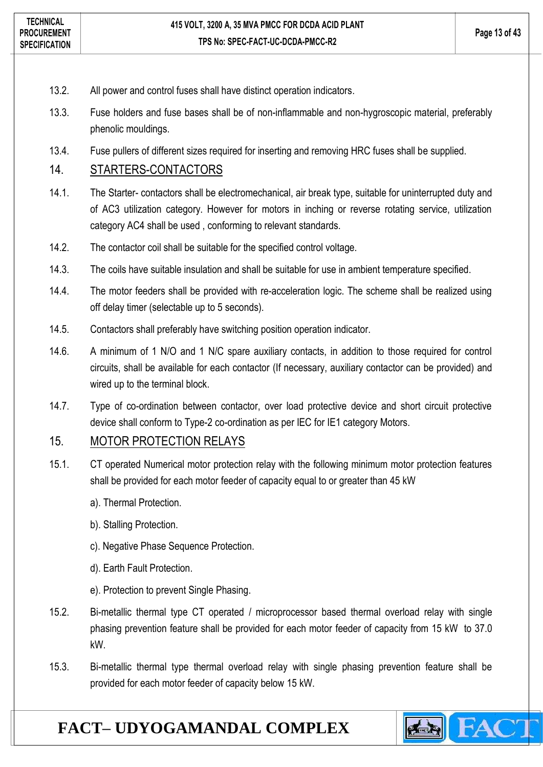- 13.2. All power and control fuses shall have distinct operation indicators.
- 13.3. Fuse holders and fuse bases shall be of non-inflammable and non-hygroscopic material, preferably phenolic mouldings.
- 13.4. Fuse pullers of different sizes required for inserting and removing HRC fuses shall be supplied.

### <span id="page-12-0"></span>14. STARTERS-CONTACTORS

- 14.1. The Starter- contactors shall be electromechanical, air break type, suitable for uninterrupted duty and of AC3 utilization category. However for motors in inching or reverse rotating service, utilization category AC4 shall be used , conforming to relevant standards.
- 14.2. The contactor coil shall be suitable for the specified control voltage.
- 14.3. The coils have suitable insulation and shall be suitable for use in ambient temperature specified.
- 14.4. The motor feeders shall be provided with re-acceleration logic. The scheme shall be realized using off delay timer (selectable up to 5 seconds).
- 14.5. Contactors shall preferably have switching position operation indicator.
- 14.6. A minimum of 1 N/O and 1 N/C spare auxiliary contacts, in addition to those required for control circuits, shall be available for each contactor (If necessary, auxiliary contactor can be provided) and wired up to the terminal block.
- 14.7. Type of co-ordination between contactor, over load protective device and short circuit protective device shall conform to Type-2 co-ordination as per IEC for IE1 category Motors.

### <span id="page-12-1"></span>15. MOTOR PROTECTION RELAYS

- 15.1. CT operated Numerical motor protection relay with the following minimum motor protection features shall be provided for each motor feeder of capacity equal to or greater than 45 kW
	- a). Thermal Protection.
	- b). Stalling Protection.
	- c). Negative Phase Sequence Protection.
	- d). Earth Fault Protection.
	- e). Protection to prevent Single Phasing.
- 15.2. Bi-metallic thermal type CT operated / microprocessor based thermal overload relay with single phasing prevention feature shall be provided for each motor feeder of capacity from 15 kW to 37.0 kW.
- 15.3. Bi-metallic thermal type thermal overload relay with single phasing prevention feature shall be provided for each motor feeder of capacity below 15 kW.

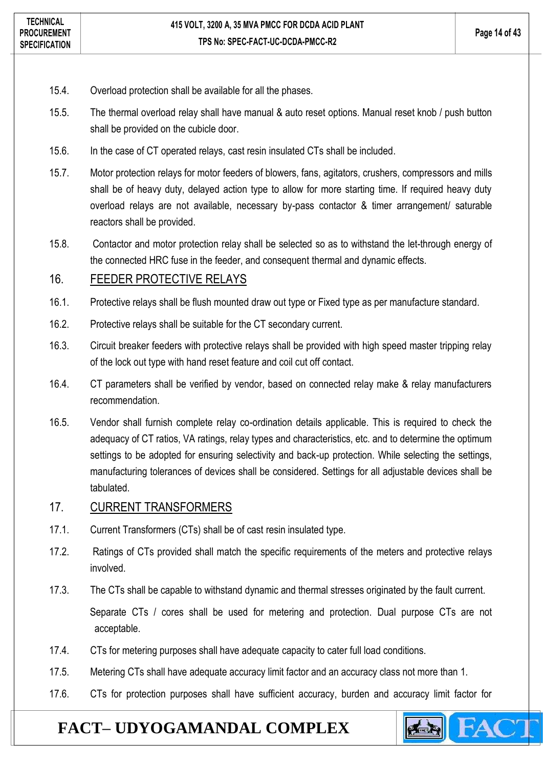- 15.4. Overload protection shall be available for all the phases.
- 15.5. The thermal overload relay shall have manual & auto reset options. Manual reset knob / push button shall be provided on the cubicle door.
- 15.6. In the case of CT operated relays, cast resin insulated CTs shall be included.
- 15.7. Motor protection relays for motor feeders of blowers, fans, agitators, crushers, compressors and mills shall be of heavy duty, delayed action type to allow for more starting time. If required heavy duty overload relays are not available, necessary by-pass contactor & timer arrangement/ saturable reactors shall be provided.
- 15.8. Contactor and motor protection relay shall be selected so as to withstand the let-through energy of the connected HRC fuse in the feeder, and consequent thermal and dynamic effects.

### <span id="page-13-0"></span>16. FEEDER PROTECTIVE RELAYS

- 16.1. Protective relays shall be flush mounted draw out type or Fixed type as per manufacture standard.
- 16.2. Protective relays shall be suitable for the CT secondary current.
- 16.3. Circuit breaker feeders with protective relays shall be provided with high speed master tripping relay of the lock out type with hand reset feature and coil cut off contact.
- 16.4. CT parameters shall be verified by vendor, based on connected relay make & relay manufacturers recommendation.
- 16.5. Vendor shall furnish complete relay co-ordination details applicable. This is required to check the adequacy of CT ratios, VA ratings, relay types and characteristics, etc. and to determine the optimum settings to be adopted for ensuring selectivity and back-up protection. While selecting the settings, manufacturing tolerances of devices shall be considered. Settings for all adjustable devices shall be tabulated.

#### <span id="page-13-1"></span>17. CURRENT TRANSFORMERS

- 17.1. Current Transformers (CTs) shall be of cast resin insulated type.
- 17.2. Ratings of CTs provided shall match the specific requirements of the meters and protective relays involved.
- 17.3. The CTs shall be capable to withstand dynamic and thermal stresses originated by the fault current. Separate CTs / cores shall be used for metering and protection. Dual purpose CTs are not acceptable.
- 17.4. CTs for metering purposes shall have adequate capacity to cater full load conditions.
- 17.5. Metering CTs shall have adequate accuracy limit factor and an accuracy class not more than 1.
- 17.6. CTs for protection purposes shall have sufficient accuracy, burden and accuracy limit factor for

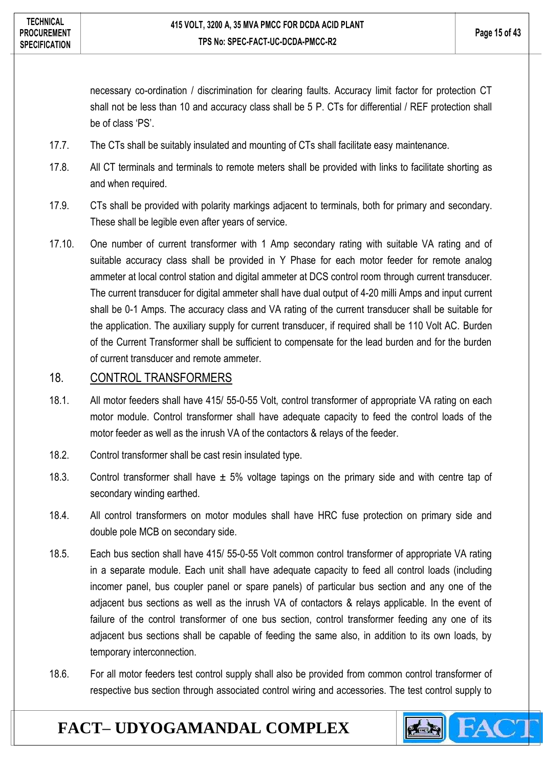necessary co-ordination / discrimination for clearing faults. Accuracy limit factor for protection CT shall not be less than 10 and accuracy class shall be 5 P. CTs for differential / REF protection shall be of class 'PS'.

- 17.7. The CTs shall be suitably insulated and mounting of CTs shall facilitate easy maintenance.
- 17.8. All CT terminals and terminals to remote meters shall be provided with links to facilitate shorting as and when required.
- 17.9. CTs shall be provided with polarity markings adjacent to terminals, both for primary and secondary. These shall be legible even after years of service.
- 17.10. One number of current transformer with 1 Amp secondary rating with suitable VA rating and of suitable accuracy class shall be provided in Y Phase for each motor feeder for remote analog ammeter at local control station and digital ammeter at DCS control room through current transducer. The current transducer for digital ammeter shall have dual output of 4-20 milli Amps and input current shall be 0-1 Amps. The accuracy class and VA rating of the current transducer shall be suitable for the application. The auxiliary supply for current transducer, if required shall be 110 Volt AC. Burden of the Current Transformer shall be sufficient to compensate for the lead burden and for the burden of current transducer and remote ammeter.

#### <span id="page-14-0"></span>18. CONTROL TRANSFORMERS

- 18.1. All motor feeders shall have 415/ 55-0-55 Volt, control transformer of appropriate VA rating on each motor module. Control transformer shall have adequate capacity to feed the control loads of the motor feeder as well as the inrush VA of the contactors & relays of the feeder.
- 18.2. Control transformer shall be cast resin insulated type.
- 18.3. Control transformer shall have  $\pm$  5% voltage tapings on the primary side and with centre tap of secondary winding earthed.
- 18.4. All control transformers on motor modules shall have HRC fuse protection on primary side and double pole MCB on secondary side.
- 18.5. Each bus section shall have 415/ 55-0-55 Volt common control transformer of appropriate VA rating in a separate module. Each unit shall have adequate capacity to feed all control loads (including incomer panel, bus coupler panel or spare panels) of particular bus section and any one of the adjacent bus sections as well as the inrush VA of contactors & relays applicable. In the event of failure of the control transformer of one bus section, control transformer feeding any one of its adjacent bus sections shall be capable of feeding the same also, in addition to its own loads, by temporary interconnection.
- 18.6. For all motor feeders test control supply shall also be provided from common control transformer of respective bus section through associated control wiring and accessories. The test control supply to

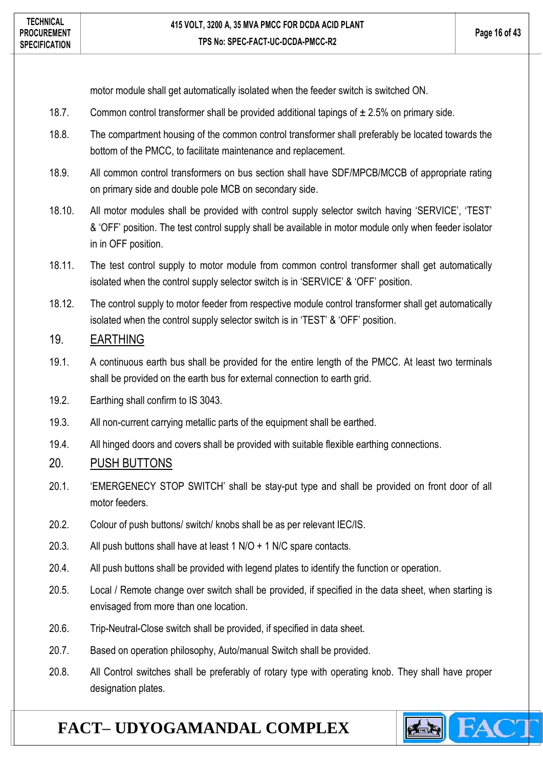motor module shall get automatically isolated when the feeder switch is switched ON.

- 18.7. Common control transformer shall be provided additional tapings of  $\pm 2.5$ % on primary side.
- 18.8. The compartment housing of the common control transformer shall preferably be located towards the bottom of the PMCC, to facilitate maintenance and replacement.
- 18.9. All common control transformers on bus section shall have SDF/MPCB/MCCB of appropriate rating on primary side and double pole MCB on secondary side.
- 18.10. All motor modules shall be provided with control supply selector switch having 'SERVICE', 'TEST' & 'OFF' position. The test control supply shall be available in motor module only when feeder isolator in in OFF position.
- 18.11. The test control supply to motor module from common control transformer shall get automatically isolated when the control supply selector switch is in 'SERVICE' & 'OFF' position.
- 18.12. The control supply to motor feeder from respective module control transformer shall get automatically isolated when the control supply selector switch is in 'TEST' & 'OFF' position.

### <span id="page-15-0"></span>19. EARTHING

- 19.1. A continuous earth bus shall be provided for the entire length of the PMCC. At least two terminals shall be provided on the earth bus for external connection to earth grid.
- 19.2. Earthing shall confirm to IS 3043.
- 19.3. All non-current carrying metallic parts of the equipment shall be earthed.
- 19.4. All hinged doors and covers shall be provided with suitable flexible earthing connections.

### <span id="page-15-1"></span>20. PUSH BUTTONS

- 20.1. 'EMERGENECY STOP SWITCH' shall be stay-put type and shall be provided on front door of all motor feeders.
- 20.2. Colour of push buttons/ switch/ knobs shall be as per relevant IEC/IS.
- 20.3. All push buttons shall have at least 1 N/O + 1 N/C spare contacts.
- 20.4. All push buttons shall be provided with legend plates to identify the function or operation.
- 20.5. Local / Remote change over switch shall be provided, if specified in the data sheet, when starting is envisaged from more than one location.
- 20.6. Trip-Neutral-Close switch shall be provided, if specified in data sheet.
- 20.7. Based on operation philosophy, Auto/manual Switch shall be provided.
- 20.8. All Control switches shall be preferably of rotary type with operating knob. They shall have proper designation plates.

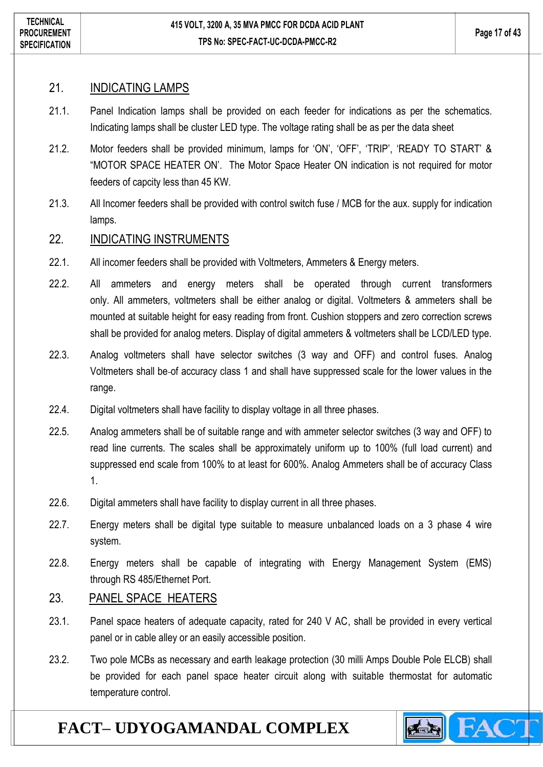#### <span id="page-16-0"></span>21. INDICATING LAMPS

- 21.1. Panel Indication lamps shall be provided on each feeder for indications as per the schematics. Indicating lamps shall be cluster LED type. The voltage rating shall be as per the data sheet
- 21.2. Motor feeders shall be provided minimum, lamps for 'ON', 'OFF', 'TRIP', 'READY TO START' & "MOTOR SPACE HEATER ON'. The Motor Space Heater ON indication is not required for motor feeders of capcity less than 45 KW.
- 21.3. All Incomer feeders shall be provided with control switch fuse / MCB for the aux. supply for indication lamps.

#### <span id="page-16-1"></span>22. INDICATING INSTRUMENTS

- 22.1. All incomer feeders shall be provided with Voltmeters, Ammeters & Energy meters.
- 22.2. All ammeters and energy meters shall be operated through current transformers only. All ammeters, voltmeters shall be either analog or digital. Voltmeters & ammeters shall be mounted at suitable height for easy reading from front. Cushion stoppers and zero correction screws shall be provided for analog meters. Display of digital ammeters & voltmeters shall be LCD/LED type.
- 22.3. Analog voltmeters shall have selector switches (3 way and OFF) and control fuses. Analog Voltmeters shall be of accuracy class 1 and shall have suppressed scale for the lower values in the range.
- 22.4. Digital voltmeters shall have facility to display voltage in all three phases.
- 22.5. Analog ammeters shall be of suitable range and with ammeter selector switches (3 way and OFF) to read line currents. The scales shall be approximately uniform up to 100% (full load current) and suppressed end scale from 100% to at least for 600%. Analog Ammeters shall be of accuracy Class 1.
- 22.6. Digital ammeters shall have facility to display current in all three phases.
- 22.7. Energy meters shall be digital type suitable to measure unbalanced loads on a 3 phase 4 wire system.
- 22.8. Energy meters shall be capable of integrating with Energy Management System (EMS) through RS 485/Ethernet Port.

### <span id="page-16-2"></span>23. PANEL SPACE HEATERS

- 23.1. Panel space heaters of adequate capacity, rated for 240 V AC, shall be provided in every vertical panel or in cable alley or an easily accessible position.
- 23.2. Two pole MCBs as necessary and earth leakage protection (30 milli Amps Double Pole ELCB) shall be provided for each panel space heater circuit along with suitable thermostat for automatic temperature control.

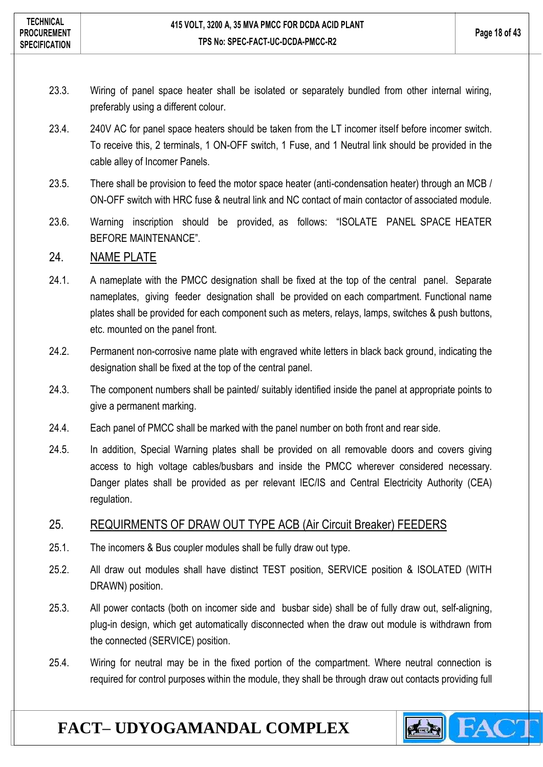- 23.3. Wiring of panel space heater shall be isolated or separately bundled from other internal wiring, preferably using a different colour.
- 23.4. 240V AC for panel space heaters should be taken from the LT incomer itself before incomer switch. To receive this, 2 terminals, 1 ON-OFF switch, 1 Fuse, and 1 Neutral link should be provided in the cable alley of Incomer Panels.
- 23.5. There shall be provision to feed the motor space heater (anti-condensation heater) through an MCB / ON-OFF switch with HRC fuse & neutral link and NC contact of main contactor of associated module.
- 23.6. Warning inscription should be provided, as follows: "ISOLATE PANEL SPACE HEATER BEFORE MAINTENANCE".

### <span id="page-17-0"></span>24. NAME PLATE

- 24.1. A nameplate with the PMCC designation shall be fixed at the top of the central panel. Separate nameplates, giving feeder designation shall be provided on each compartment. Functional name plates shall be provided for each component such as meters, relays, lamps, switches & push buttons, etc. mounted on the panel front.
- 24.2. Permanent non-corrosive name plate with engraved white letters in black back ground, indicating the designation shall be fixed at the top of the central panel.
- 24.3. The component numbers shall be painted/ suitably identified inside the panel at appropriate points to give a permanent marking.
- 24.4. Each panel of PMCC shall be marked with the panel number on both front and rear side.
- 24.5. In addition, Special Warning plates shall be provided on all removable doors and covers giving access to high voltage cables/busbars and inside the PMCC wherever considered necessary. Danger plates shall be provided as per relevant IEC/IS and Central Electricity Authority (CEA) regulation.

#### <span id="page-17-1"></span>25. REQUIRMENTS OF DRAW OUT TYPE ACB (Air Circuit Breaker) FEEDERS

- 25.1. The incomers & Bus coupler modules shall be fully draw out type.
- 25.2. All draw out modules shall have distinct TEST position, SERVICE position & ISOLATED (WITH DRAWN) position.
- 25.3. All power contacts (both on incomer side and busbar side) shall be of fully draw out, self-aligning, plug-in design, which get automatically disconnected when the draw out module is withdrawn from the connected (SERVICE) position.
- 25.4. Wiring for neutral may be in the fixed portion of the compartment. Where neutral connection is required for control purposes within the module, they shall be through draw out contacts providing full

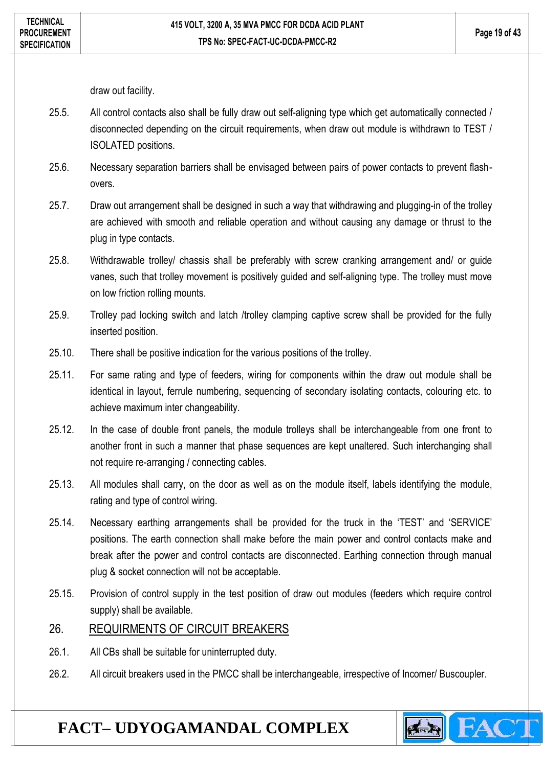draw out facility.

- 25.5. All control contacts also shall be fully draw out self-aligning type which get automatically connected / disconnected depending on the circuit requirements, when draw out module is withdrawn to TEST / ISOLATED positions.
- 25.6. Necessary separation barriers shall be envisaged between pairs of power contacts to prevent flashovers.
- 25.7. Draw out arrangement shall be designed in such a way that withdrawing and plugging-in of the trolley are achieved with smooth and reliable operation and without causing any damage or thrust to the plug in type contacts.
- 25.8. Withdrawable trolley/ chassis shall be preferably with screw cranking arrangement and/ or guide vanes, such that trolley movement is positively guided and self-aligning type. The trolley must move on low friction rolling mounts.
- 25.9. Trolley pad locking switch and latch /trolley clamping captive screw shall be provided for the fully inserted position.
- 25.10. There shall be positive indication for the various positions of the trolley.
- 25.11. For same rating and type of feeders, wiring for components within the draw out module shall be identical in layout, ferrule numbering, sequencing of secondary isolating contacts, colouring etc. to achieve maximum inter changeability.
- 25.12. In the case of double front panels, the module trolleys shall be interchangeable from one front to another front in such a manner that phase sequences are kept unaltered. Such interchanging shall not require re-arranging / connecting cables.
- 25.13. All modules shall carry, on the door as well as on the module itself, labels identifying the module, rating and type of control wiring.
- 25.14. Necessary earthing arrangements shall be provided for the truck in the 'TEST' and 'SERVICE' positions. The earth connection shall make before the main power and control contacts make and break after the power and control contacts are disconnected. Earthing connection through manual plug & socket connection will not be acceptable.
- 25.15. Provision of control supply in the test position of draw out modules (feeders which require control supply) shall be available.

### <span id="page-18-0"></span>26. REQUIRMENTS OF CIRCUIT BREAKERS

- 26.1. All CBs shall be suitable for uninterrupted duty.
- 26.2. All circuit breakers used in the PMCC shall be interchangeable, irrespective of Incomer/ Buscoupler.

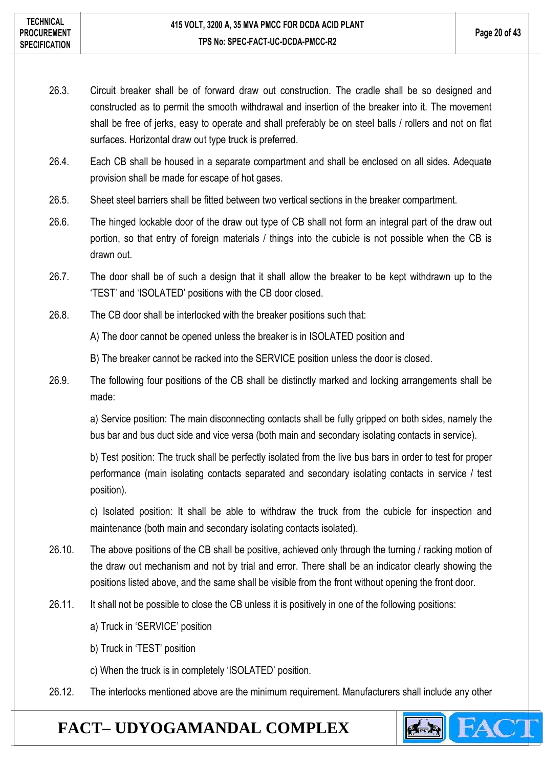- 26.3. Circuit breaker shall be of forward draw out construction. The cradle shall be so designed and constructed as to permit the smooth withdrawal and insertion of the breaker into it. The movement shall be free of jerks, easy to operate and shall preferably be on steel balls / rollers and not on flat surfaces. Horizontal draw out type truck is preferred.
- 26.4. Each CB shall be housed in a separate compartment and shall be enclosed on all sides. Adequate provision shall be made for escape of hot gases.
- 26.5. Sheet steel barriers shall be fitted between two vertical sections in the breaker compartment.
- 26.6. The hinged lockable door of the draw out type of CB shall not form an integral part of the draw out portion, so that entry of foreign materials / things into the cubicle is not possible when the CB is drawn out.
- 26.7. The door shall be of such a design that it shall allow the breaker to be kept withdrawn up to the 'TEST' and 'ISOLATED' positions with the CB door closed.
- 26.8. The CB door shall be interlocked with the breaker positions such that:
	- A) The door cannot be opened unless the breaker is in ISOLATED position and
	- B) The breaker cannot be racked into the SERVICE position unless the door is closed.
- 26.9. The following four positions of the CB shall be distinctly marked and locking arrangements shall be made:

a) Service position: The main disconnecting contacts shall be fully gripped on both sides, namely the bus bar and bus duct side and vice versa (both main and secondary isolating contacts in service).

b) Test position: The truck shall be perfectly isolated from the live bus bars in order to test for proper performance (main isolating contacts separated and secondary isolating contacts in service / test position).

c) Isolated position: It shall be able to withdraw the truck from the cubicle for inspection and maintenance (both main and secondary isolating contacts isolated).

- 26.10. The above positions of the CB shall be positive, achieved only through the turning / racking motion of the draw out mechanism and not by trial and error. There shall be an indicator clearly showing the positions listed above, and the same shall be visible from the front without opening the front door.
- 26.11. It shall not be possible to close the CB unless it is positively in one of the following positions:
	- a) Truck in 'SERVICE' position
	- b) Truck in 'TEST' position
	- c) When the truck is in completely 'ISOLATED' position.
- 26.12. The interlocks mentioned above are the minimum requirement. Manufacturers shall include any other

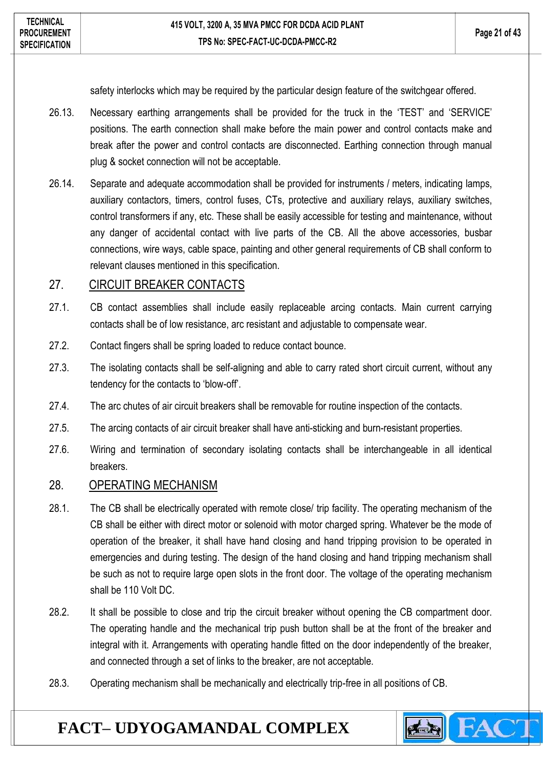safety interlocks which may be required by the particular design feature of the switchgear offered.

- 26.13. Necessary earthing arrangements shall be provided for the truck in the 'TEST' and 'SERVICE' positions. The earth connection shall make before the main power and control contacts make and break after the power and control contacts are disconnected. Earthing connection through manual plug & socket connection will not be acceptable.
- 26.14. Separate and adequate accommodation shall be provided for instruments / meters, indicating lamps, auxiliary contactors, timers, control fuses, CTs, protective and auxiliary relays, auxiliary switches, control transformers if any, etc. These shall be easily accessible for testing and maintenance, without any danger of accidental contact with live parts of the CB. All the above accessories, busbar connections, wire ways, cable space, painting and other general requirements of CB shall conform to relevant clauses mentioned in this specification.

### <span id="page-20-0"></span>27. CIRCUIT BREAKER CONTACTS

- 27.1. CB contact assemblies shall include easily replaceable arcing contacts. Main current carrying contacts shall be of low resistance, arc resistant and adjustable to compensate wear.
- 27.2. Contact fingers shall be spring loaded to reduce contact bounce.
- 27.3. The isolating contacts shall be self-aligning and able to carry rated short circuit current, without any tendency for the contacts to 'blow-off'.
- 27.4. The arc chutes of air circuit breakers shall be removable for routine inspection of the contacts.
- 27.5. The arcing contacts of air circuit breaker shall have anti-sticking and burn-resistant properties.
- 27.6. Wiring and termination of secondary isolating contacts shall be interchangeable in all identical breakers.

#### <span id="page-20-1"></span>28. OPERATING MECHANISM

- 28.1. The CB shall be electrically operated with remote close/ trip facility. The operating mechanism of the CB shall be either with direct motor or solenoid with motor charged spring. Whatever be the mode of operation of the breaker, it shall have hand closing and hand tripping provision to be operated in emergencies and during testing. The design of the hand closing and hand tripping mechanism shall be such as not to require large open slots in the front door. The voltage of the operating mechanism shall be 110 Volt DC.
- 28.2. It shall be possible to close and trip the circuit breaker without opening the CB compartment door. The operating handle and the mechanical trip push button shall be at the front of the breaker and integral with it. Arrangements with operating handle fitted on the door independently of the breaker, and connected through a set of links to the breaker, are not acceptable.

**Principal** 

28.3. Operating mechanism shall be mechanically and electrically trip-free in all positions of CB.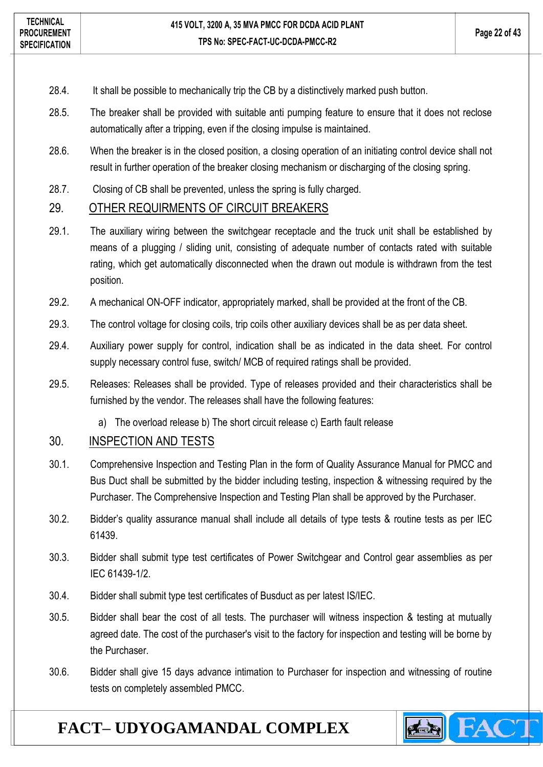- 28.4. It shall be possible to mechanically trip the CB by a distinctively marked push button.
- 28.5. The breaker shall be provided with suitable anti pumping feature to ensure that it does not reclose automatically after a tripping, even if the closing impulse is maintained.
- 28.6. When the breaker is in the closed position, a closing operation of an initiating control device shall not result in further operation of the breaker closing mechanism or discharging of the closing spring.
- 28.7. Closing of CB shall be prevented, unless the spring is fully charged.

#### <span id="page-21-0"></span>29. OTHER REQUIRMENTS OF CIRCUIT BREAKERS

- 29.1. The auxiliary wiring between the switchgear receptacle and the truck unit shall be established by means of a plugging / sliding unit, consisting of adequate number of contacts rated with suitable rating, which get automatically disconnected when the drawn out module is withdrawn from the test position.
- 29.2. A mechanical ON-OFF indicator, appropriately marked, shall be provided at the front of the CB.
- 29.3. The control voltage for closing coils, trip coils other auxiliary devices shall be as per data sheet.
- 29.4. Auxiliary power supply for control, indication shall be as indicated in the data sheet. For control supply necessary control fuse, switch/ MCB of required ratings shall be provided.
- 29.5. Releases: Releases shall be provided. Type of releases provided and their characteristics shall be furnished by the vendor. The releases shall have the following features:
	- a) The overload release b) The short circuit release c) Earth fault release

#### <span id="page-21-1"></span>30. INSPECTION AND TESTS

- 30.1. Comprehensive Inspection and Testing Plan in the form of Quality Assurance Manual for PMCC and Bus Duct shall be submitted by the bidder including testing, inspection & witnessing required by the Purchaser. The Comprehensive Inspection and Testing Plan shall be approved by the Purchaser.
- 30.2. Bidder's quality assurance manual shall include all details of type tests & routine tests as per IEC 61439.
- 30.3. Bidder shall submit type test certificates of Power Switchgear and Control gear assemblies as per IEC 61439-1/2.
- 30.4. Bidder shall submit type test certificates of Busduct as per latest IS/IEC.
- 30.5. Bidder shall bear the cost of all tests. The purchaser will witness inspection & testing at mutually agreed date. The cost of the purchaser's visit to the factory for inspection and testing will be borne by the Purchaser.
- 30.6. Bidder shall give 15 days advance intimation to Purchaser for inspection and witnessing of routine tests on completely assembled PMCC.

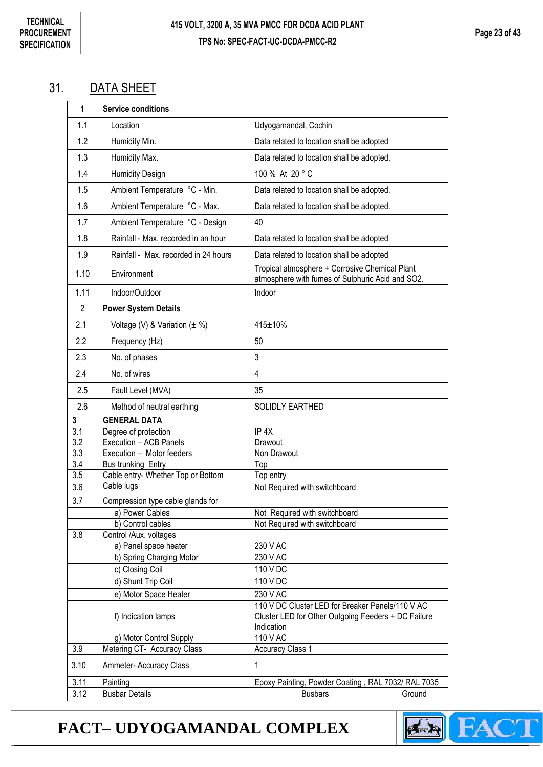### <span id="page-22-0"></span>31. DATA SHEET

| 1                | <b>Service conditions</b>            |                                                                                                                       |
|------------------|--------------------------------------|-----------------------------------------------------------------------------------------------------------------------|
| 1.1              | Location                             | Udyogamandal, Cochin                                                                                                  |
| 1.2              | Humidity Min.                        | Data related to location shall be adopted                                                                             |
| 1.3              | Humidity Max.                        | Data related to location shall be adopted.                                                                            |
| 1.4              | <b>Humidity Design</b>               | 100 % At 20 °C                                                                                                        |
| 1.5              | Ambient Temperature °C - Min.        | Data related to location shall be adopted.                                                                            |
| 1.6              | Ambient Temperature °C - Max.        | Data related to location shall be adopted.                                                                            |
| 1.7              | Ambient Temperature °C - Design      | 40                                                                                                                    |
| 1.8              | Rainfall - Max. recorded in an hour  | Data related to location shall be adopted                                                                             |
| 1.9              | Rainfall - Max. recorded in 24 hours | Data related to location shall be adopted                                                                             |
| 1.10             | Environment                          | Tropical atmosphere + Corrosive Chemical Plant<br>atmosphere with fumes of Sulphuric Acid and SO2.                    |
| 1.11             | Indoor/Outdoor                       | Indoor                                                                                                                |
| $\overline{2}$   | <b>Power System Details</b>          |                                                                                                                       |
| 2.1              | Voltage (V) & Variation $(\pm \%)$   | 415±10%                                                                                                               |
| 2.2              | Frequency (Hz)                       | 50                                                                                                                    |
| 2.3              | No. of phases                        | 3                                                                                                                     |
| 2.4              | No. of wires                         | $\overline{\mathbf{4}}$                                                                                               |
| 2.5              | Fault Level (MVA)                    | 35                                                                                                                    |
| 2.6              | Method of neutral earthing           | SOLIDLY EARTHED                                                                                                       |
| 3                | <b>GENERAL DATA</b>                  |                                                                                                                       |
| $\overline{3.1}$ | Degree of protection                 | IP <sub>4X</sub>                                                                                                      |
| $\overline{3.2}$ | Execution - ACB Panels               | Drawout                                                                                                               |
| 3.3              | Execution - Motor feeders            | Non Drawout                                                                                                           |
| $\overline{3.4}$ | <b>Bus trunking Entry</b>            | Top                                                                                                                   |
| 3.5              | Cable entry- Whether Top or Bottom   | Top entry                                                                                                             |
| 3.6              | Cable lugs                           | Not Required with switchboard                                                                                         |
| 3.7              | Compression type cable glands for    |                                                                                                                       |
|                  | a) Power Cables                      | Not Required with switchboard                                                                                         |
|                  | b) Control cables                    | Not Required with switchboard                                                                                         |
| 3.8              | Control /Aux. voltages               |                                                                                                                       |
|                  | a) Panel space heater                | 230 V AC                                                                                                              |
|                  | b) Spring Charging Motor             | 230 V AC                                                                                                              |
|                  | c) Closing Coil                      | 110 V DC                                                                                                              |
|                  | d) Shunt Trip Coil                   | 110 V DC                                                                                                              |
|                  | e) Motor Space Heater                | 230 V AC                                                                                                              |
|                  | f) Indication lamps                  | 110 V DC Cluster LED for Breaker Panels/110 V AC<br>Cluster LED for Other Outgoing Feeders + DC Failure<br>Indication |
|                  | g) Motor Control Supply              | 110 V AC                                                                                                              |
| 3.9              | Metering CT- Accuracy Class          | <b>Accuracy Class 1</b>                                                                                               |
| 3.10             | Ammeter- Accuracy Class              | 1                                                                                                                     |
| 3.11             | Painting                             | Epoxy Painting, Powder Coating, RAL 7032/ RAL 7035                                                                    |
| 3.12             | <b>Busbar Details</b>                | <b>Busbars</b><br>Ground                                                                                              |

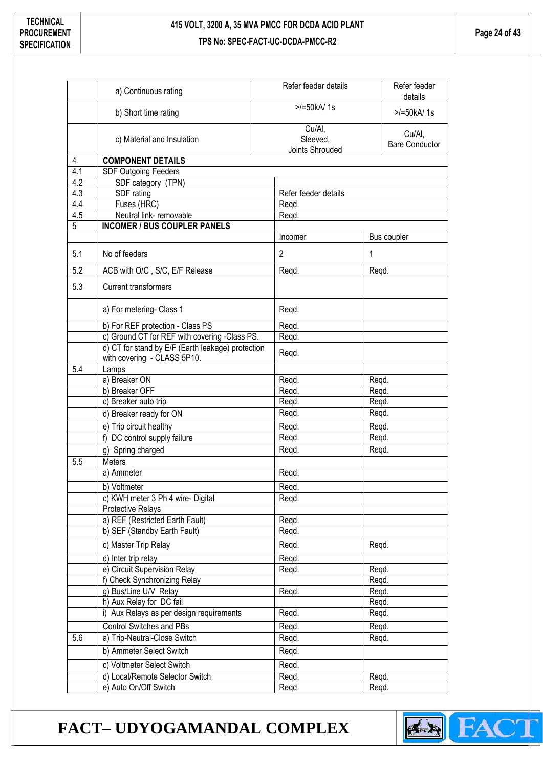**Page 24 of 43**

|     | a) Continuous rating                                                             | Refer feeder details | Refer feeder<br>details         |  |
|-----|----------------------------------------------------------------------------------|----------------------|---------------------------------|--|
|     | b) Short time rating                                                             | $>$ /=50kA/1s        | $>$ /=50kA/1s                   |  |
|     | c) Material and Insulation                                                       | Cu/Al,<br>Sleeved,   | Cu/Al,<br><b>Bare Conductor</b> |  |
| 4   | <b>COMPONENT DETAILS</b>                                                         | Joints Shrouded      |                                 |  |
| 4.1 | <b>SDF Outgoing Feeders</b>                                                      |                      |                                 |  |
| 4.2 | SDF category (TPN)                                                               |                      |                                 |  |
| 4.3 | SDF rating                                                                       | Refer feeder details |                                 |  |
| 4.4 | Fuses (HRC)                                                                      | Regd.                |                                 |  |
| 4.5 | Neutral link- removable                                                          | Regd.                |                                 |  |
| 5   | <b>INCOMER / BUS COUPLER PANELS</b>                                              |                      |                                 |  |
|     |                                                                                  | Incomer              | Bus coupler                     |  |
| 5.1 | No of feeders                                                                    | 2                    | 1                               |  |
| 5.2 | ACB with O/C, S/C, E/F Release                                                   | Regd.                | Regd.                           |  |
| 5.3 | <b>Current transformers</b>                                                      |                      |                                 |  |
|     | a) For metering- Class 1                                                         | Regd.                |                                 |  |
|     | b) For REF protection - Class PS                                                 | Reqd.                |                                 |  |
|     | c) Ground CT for REF with covering -Class PS.                                    | Regd.                |                                 |  |
|     | d) CT for stand by E/F (Earth leakage) protection<br>with covering - CLASS 5P10. | Regd.                |                                 |  |
| 5.4 | Lamps                                                                            |                      |                                 |  |
|     | a) Breaker ON                                                                    | Regd.                | Reqd.                           |  |
|     | b) Breaker OFF                                                                   | Regd.                | Reqd.                           |  |
|     | c) Breaker auto trip                                                             | Regd.                | Regd.                           |  |
|     | d) Breaker ready for ON                                                          | Regd.                | Regd.                           |  |
|     | e) Trip circuit healthy                                                          | Reqd.                | Regd.                           |  |
|     | f) DC control supply failure                                                     | Regd.                | Regd.                           |  |
|     | g) Spring charged                                                                | Regd.                | Regd.                           |  |
| 5.5 | <b>Meters</b>                                                                    |                      |                                 |  |
|     | a) Ammeter                                                                       | Regd.                |                                 |  |
|     | b) Voltmeter                                                                     | Regd.                |                                 |  |
|     | c) KWH meter 3 Ph 4 wire- Digital                                                | Regd.                |                                 |  |
|     | Protective Relays                                                                |                      |                                 |  |
|     | a) REF (Restricted Earth Fault)                                                  | Regd.                |                                 |  |
|     | b) SEF (Standby Earth Fault)                                                     | Regd.                |                                 |  |
|     | c) Master Trip Relay                                                             | Regd.                | Regd.                           |  |
|     | d) Inter trip relay                                                              | Regd.                |                                 |  |
|     | e) Circuit Supervision Relay                                                     | Regd.                | Regd.                           |  |
|     | f) Check Synchronizing Relay                                                     |                      | Regd.                           |  |
|     | g) Bus/Line U/V Relay                                                            | Regd.                | Regd.                           |  |
|     | h) Aux Relay for DC fail                                                         |                      | Regd.                           |  |
|     | i) Aux Relays as per design requirements                                         | Regd.                | Regd.                           |  |
|     | <b>Control Switches and PBs</b>                                                  | Reqd.                | Regd.                           |  |
| 5.6 | a) Trip-Neutral-Close Switch                                                     | Regd.                | Regd.                           |  |
|     | b) Ammeter Select Switch                                                         | Regd.                |                                 |  |
|     | c) Voltmeter Select Switch                                                       | Regd.                |                                 |  |
|     | d) Local/Remote Selector Switch                                                  | Regd.                | Regd.                           |  |
|     | e) Auto On/Off Switch                                                            | Reqd.                | Regd.                           |  |

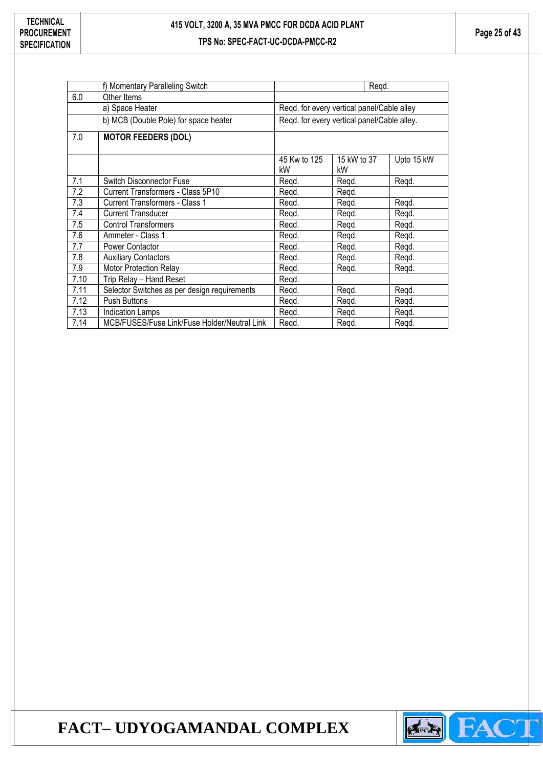|      | f) Momentary Paralleling Switch              |                    | Regd.                                       |            |
|------|----------------------------------------------|--------------------|---------------------------------------------|------------|
| 6.0  | Other Items                                  |                    |                                             |            |
|      | a) Space Heater                              |                    | Regd. for every vertical panel/Cable alley  |            |
|      | b) MCB (Double Pole) for space heater        |                    | Regd. for every vertical panel/Cable alley. |            |
| 7.0  | <b>MOTOR FEEDERS (DOL)</b>                   |                    |                                             |            |
|      |                                              | 45 Kw to 125<br>kW | 15 kW to 37<br>kW                           | Upto 15 kW |
| 7.1  | <b>Switch Disconnector Fuse</b>              | Regd.              | Regd.                                       | Regd.      |
| 7.2  | Current Transformers - Class 5P10            | Regd.              | Regd.                                       |            |
| 7.3  | <b>Current Transformers - Class 1</b>        | Regd.              | Regd.                                       | Regd.      |
| 7.4  | <b>Current Transducer</b>                    | Regd.              | Regd.                                       | Regd.      |
| 7.5  | <b>Control Transformers</b>                  | Regd.              | Regd.                                       | Regd.      |
| 7.6  | Ammeter - Class 1                            | Regd.              | Regd.                                       | Regd.      |
| 7.7  | Power Contactor                              | Regd.              | Regd.                                       | Regd.      |
| 7.8  | <b>Auxiliary Contactors</b>                  | Regd.              | Regd.                                       | Regd.      |
| 7.9  | Motor Protection Relay                       | Regd.              | Regd.                                       | Regd.      |
| 7.10 | Trip Relay - Hand Reset                      | Regd.              |                                             |            |
| 7.11 | Selector Switches as per design requirements | Regd.              | Regd.                                       | Regd.      |
| 7.12 | <b>Push Buttons</b>                          | Regd.              | Regd.                                       | Regd.      |
| 7.13 | <b>Indication Lamps</b>                      | Regd.              | Regd.                                       | Regd.      |
| 7.14 | MCB/FUSES/Fuse Link/Fuse Holder/Neutral Link | Regd.              | Regd.                                       | Regd.      |

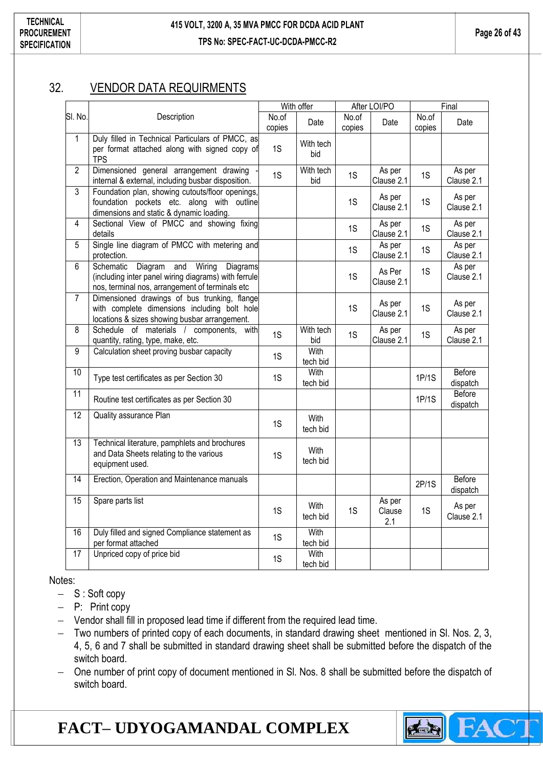### <span id="page-25-0"></span>32. VENDOR DATA REQUIRMENTS

|                 |                                                                                                                                                              |                 | With offer       |                 | After LOI/PO            |                 | Final                |
|-----------------|--------------------------------------------------------------------------------------------------------------------------------------------------------------|-----------------|------------------|-----------------|-------------------------|-----------------|----------------------|
| SI. No.         | Description                                                                                                                                                  | No.of<br>copies | Date             | No.of<br>copies | Date                    | No.of<br>copies | Date                 |
| $\mathbf 1$     | Duly filled in Technical Particulars of PMCC, as<br>per format attached along with signed copy of<br><b>TPS</b>                                              | 1S              | With tech<br>bid |                 |                         |                 |                      |
| $\overline{2}$  | Dimensioned general arrangement drawing<br>internal & external, including busbar disposition.                                                                | 1S              | With tech<br>bid | 1S              | As per<br>Clause 2.1    | 1S              | As per<br>Clause 2.1 |
| $\overline{3}$  | Foundation plan, showing cutouts/floor openings,<br>foundation pockets etc. along with outline<br>dimensions and static & dynamic loading.                   |                 |                  | 1S              | As per<br>Clause 2.1    | 1S              | As per<br>Clause 2.1 |
| 4               | Sectional View of PMCC and showing fixing<br>details                                                                                                         |                 |                  | 1S              | As per<br>Clause 2.1    | 1S              | As per<br>Clause 2.1 |
| 5               | Single line diagram of PMCC with metering and<br>protection.                                                                                                 |                 |                  | 1S              | As per<br>Clause 2.1    | 1S              | As per<br>Clause 2.1 |
| 6               | Diagram<br>Wiring<br>Diagrams<br>Schematic<br>and<br>(including inter panel wiring diagrams) with ferrule<br>nos, terminal nos, arrangement of terminals etc |                 |                  | 1S              | As Per<br>Clause 2.1    | 1S              | As per<br>Clause 2.1 |
| $\overline{7}$  | Dimensioned drawings of bus trunking, flange<br>with complete dimensions including bolt hole<br>locations & sizes showing busbar arrangement.                |                 |                  | 1S              | As per<br>Clause 2.1    | 1S              | As per<br>Clause 2.1 |
| 8               | Schedule of materials / components,<br>with<br>quantity, rating, type, make, etc.                                                                            | 1S              | With tech<br>bid | 1S              | As per<br>Clause 2.1    | 1S              | As per<br>Clause 2.1 |
| 9               | Calculation sheet proving busbar capacity                                                                                                                    | 1S              | With<br>tech bid |                 |                         |                 |                      |
| 10              | Type test certificates as per Section 30                                                                                                                     | 1S              | With<br>tech bid |                 |                         | 1P/1S           | Before<br>dispatch   |
| 11              | Routine test certificates as per Section 30                                                                                                                  |                 |                  |                 |                         | 1P/1S           | Before<br>dispatch   |
| $\overline{12}$ | Quality assurance Plan                                                                                                                                       | 1S              | With<br>tech bid |                 |                         |                 |                      |
| 13              | Technical literature, pamphlets and brochures<br>and Data Sheets relating to the various<br>equipment used.                                                  | 1S              | With<br>tech bid |                 |                         |                 |                      |
| $\overline{14}$ | Erection, Operation and Maintenance manuals                                                                                                                  |                 |                  |                 |                         | 2P/1S           | Before<br>dispatch   |
| $\overline{15}$ | Spare parts list                                                                                                                                             | 1S              | With<br>tech bid | 1S              | As per<br>Clause<br>2.1 | 1S              | As per<br>Clause 2.1 |
| 16              | Duly filled and signed Compliance statement as<br>per format attached                                                                                        | 1S              | With<br>tech bid |                 |                         |                 |                      |
| $\overline{17}$ | Unpriced copy of price bid                                                                                                                                   | 1S              | With<br>tech bid |                 |                         |                 |                      |

Notes:

- $S :$  Soft copy
- P: Print copy
- Vendor shall fill in proposed lead time if different from the required lead time.
- Two numbers of printed copy of each documents, in standard drawing sheet mentioned in Sl. Nos. 2, 3, 4, 5, 6 and 7 shall be submitted in standard drawing sheet shall be submitted before the dispatch of the switch board.
- One number of print copy of document mentioned in Sl. Nos. 8 shall be submitted before the dispatch of switch board.

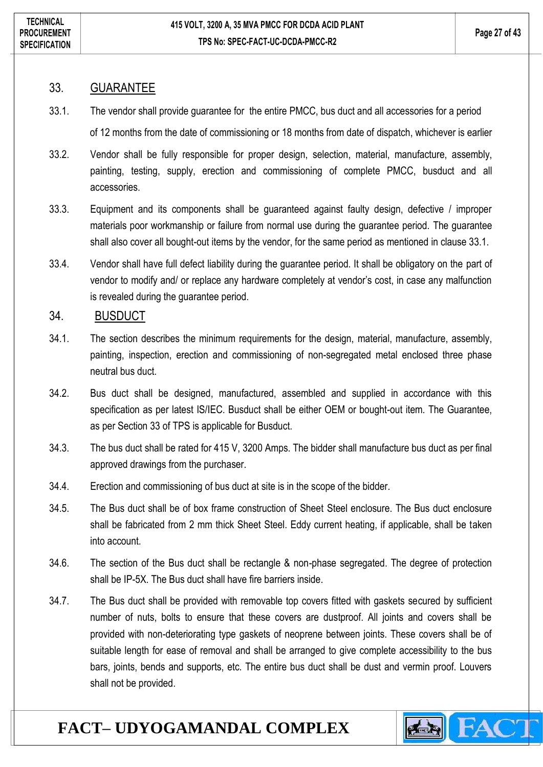#### <span id="page-26-0"></span>33. GUARANTEE

- 33.1. The vendor shall provide guarantee for the entire PMCC, bus duct and all accessories for a period of 12 months from the date of commissioning or 18 months from date of dispatch, whichever is earlier
- 33.2. Vendor shall be fully responsible for proper design, selection, material, manufacture, assembly, painting, testing, supply, erection and commissioning of complete PMCC, busduct and all accessories.
- 33.3. Equipment and its components shall be guaranteed against faulty design, defective / improper materials poor workmanship or failure from normal use during the guarantee period. The guarantee shall also cover all bought-out items by the vendor, for the same period as mentioned in clause 33.1.
- 33.4. Vendor shall have full defect liability during the guarantee period. It shall be obligatory on the part of vendor to modify and/ or replace any hardware completely at vendor's cost, in case any malfunction is revealed during the guarantee period.

### <span id="page-26-1"></span>34. BUSDUCT

- 34.1. The section describes the minimum requirements for the design, material, manufacture, assembly, painting, inspection, erection and commissioning of non-segregated metal enclosed three phase neutral bus duct.
- 34.2. Bus duct shall be designed, manufactured, assembled and supplied in accordance with this specification as per latest IS/IEC. Busduct shall be either OEM or bought-out item. The Guarantee, as per Section 33 of TPS is applicable for Busduct.
- 34.3. The bus duct shall be rated for 415 V, 3200 Amps. The bidder shall manufacture bus duct as per final approved drawings from the purchaser.
- 34.4. Erection and commissioning of bus duct at site is in the scope of the bidder.
- 34.5. The Bus duct shall be of box frame construction of Sheet Steel enclosure. The Bus duct enclosure shall be fabricated from 2 mm thick Sheet Steel. Eddy current heating, if applicable, shall be taken into account.
- 34.6. The section of the Bus duct shall be rectangle & non-phase segregated. The degree of protection shall be IP-5X. The Bus duct shall have fire barriers inside.
- 34.7. The Bus duct shall be provided with removable top covers fitted with gaskets secured by sufficient number of nuts, bolts to ensure that these covers are dustproof. All joints and covers shall be provided with non-deteriorating type gaskets of neoprene between joints. These covers shall be of suitable length for ease of removal and shall be arranged to give complete accessibility to the bus bars, joints, bends and supports, etc. The entire bus duct shall be dust and vermin proof. Louvers shall not be provided.

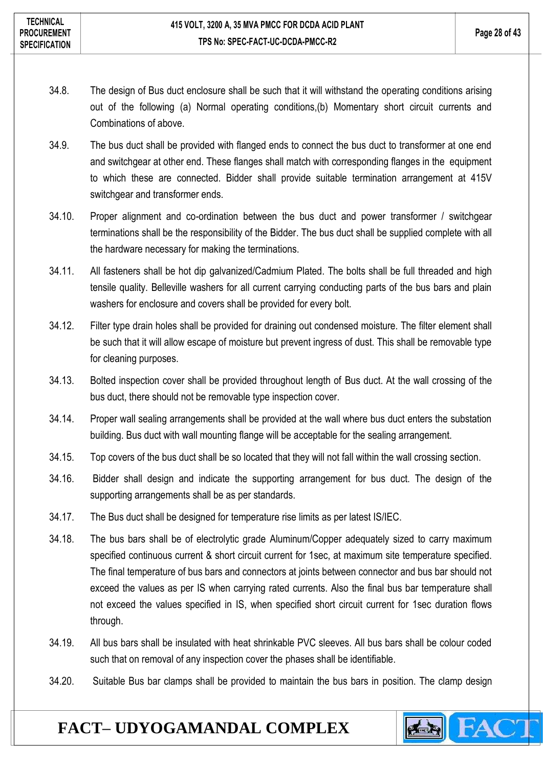- 34.8. The design of Bus duct enclosure shall be such that it will withstand the operating conditions arising out of the following (a) Normal operating conditions,(b) Momentary short circuit currents and Combinations of above.
- 34.9. The bus duct shall be provided with flanged ends to connect the bus duct to transformer at one end and switchgear at other end. These flanges shall match with corresponding flanges in the equipment to which these are connected. Bidder shall provide suitable termination arrangement at 415V switchgear and transformer ends.
- 34.10. Proper alignment and co-ordination between the bus duct and power transformer / switchgear terminations shall be the responsibility of the Bidder. The bus duct shall be supplied complete with all the hardware necessary for making the terminations.
- 34.11. All fasteners shall be hot dip galvanized/Cadmium Plated. The bolts shall be full threaded and high tensile quality. Belleville washers for all current carrying conducting parts of the bus bars and plain washers for enclosure and covers shall be provided for every bolt.
- 34.12. Filter type drain holes shall be provided for draining out condensed moisture. The filter element shall be such that it will allow escape of moisture but prevent ingress of dust. This shall be removable type for cleaning purposes.
- 34.13. Bolted inspection cover shall be provided throughout length of Bus duct. At the wall crossing of the bus duct, there should not be removable type inspection cover.
- 34.14. Proper wall sealing arrangements shall be provided at the wall where bus duct enters the substation building. Bus duct with wall mounting flange will be acceptable for the sealing arrangement.
- 34.15. Top covers of the bus duct shall be so located that they will not fall within the wall crossing section.
- 34.16. Bidder shall design and indicate the supporting arrangement for bus duct. The design of the supporting arrangements shall be as per standards.
- 34.17. The Bus duct shall be designed for temperature rise limits as per latest IS/IEC.
- 34.18. The bus bars shall be of electrolytic grade Aluminum/Copper adequately sized to carry maximum specified continuous current & short circuit current for 1sec, at maximum site temperature specified. The final temperature of bus bars and connectors at joints between connector and bus bar should not exceed the values as per IS when carrying rated currents. Also the final bus bar temperature shall not exceed the values specified in IS, when specified short circuit current for 1sec duration flows through.
- 34.19. All bus bars shall be insulated with heat shrinkable PVC sleeves. All bus bars shall be colour coded such that on removal of any inspection cover the phases shall be identifiable.
- 34.20. Suitable Bus bar clamps shall be provided to maintain the bus bars in position. The clamp design

**CARGOON**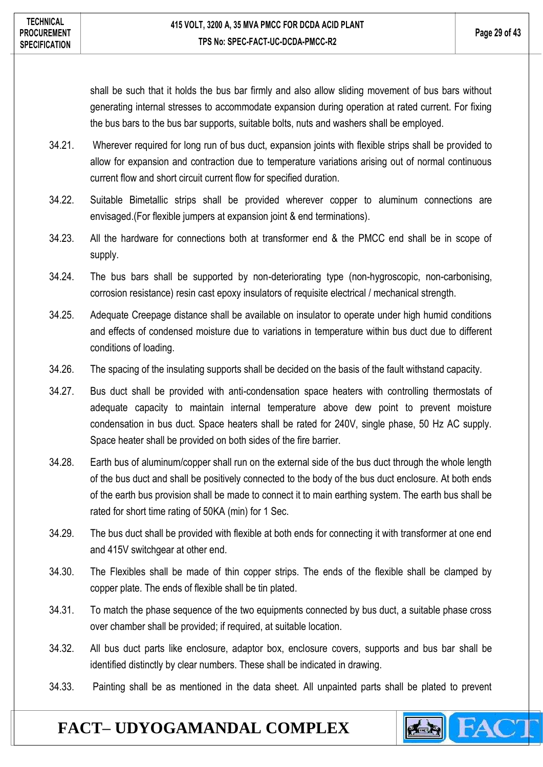shall be such that it holds the bus bar firmly and also allow sliding movement of bus bars without generating internal stresses to accommodate expansion during operation at rated current. For fixing the bus bars to the bus bar supports, suitable bolts, nuts and washers shall be employed.

- 34.21. Wherever required for long run of bus duct, expansion joints with flexible strips shall be provided to allow for expansion and contraction due to temperature variations arising out of normal continuous current flow and short circuit current flow for specified duration.
- 34.22. Suitable Bimetallic strips shall be provided wherever copper to aluminum connections are envisaged.(For flexible jumpers at expansion joint & end terminations).
- 34.23. All the hardware for connections both at transformer end & the PMCC end shall be in scope of supply.
- 34.24. The bus bars shall be supported by non-deteriorating type (non-hygroscopic, non-carbonising, corrosion resistance) resin cast epoxy insulators of requisite electrical / mechanical strength.
- 34.25. Adequate Creepage distance shall be available on insulator to operate under high humid conditions and effects of condensed moisture due to variations in temperature within bus duct due to different conditions of loading.
- 34.26. The spacing of the insulating supports shall be decided on the basis of the fault withstand capacity.
- 34.27. Bus duct shall be provided with anti-condensation space heaters with controlling thermostats of adequate capacity to maintain internal temperature above dew point to prevent moisture condensation in bus duct. Space heaters shall be rated for 240V, single phase, 50 Hz AC supply. Space heater shall be provided on both sides of the fire barrier.
- 34.28. Earth bus of aluminum/copper shall run on the external side of the bus duct through the whole length of the bus duct and shall be positively connected to the body of the bus duct enclosure. At both ends of the earth bus provision shall be made to connect it to main earthing system. The earth bus shall be rated for short time rating of 50KA (min) for 1 Sec.
- 34.29. The bus duct shall be provided with flexible at both ends for connecting it with transformer at one end and 415V switchgear at other end.
- 34.30. The Flexibles shall be made of thin copper strips. The ends of the flexible shall be clamped by copper plate. The ends of flexible shall be tin plated.
- 34.31. To match the phase sequence of the two equipments connected by bus duct, a suitable phase cross over chamber shall be provided; if required, at suitable location.
- 34.32. All bus duct parts like enclosure, adaptor box, enclosure covers, supports and bus bar shall be identified distinctly by clear numbers. These shall be indicated in drawing.
- 34.33. Painting shall be as mentioned in the data sheet. All unpainted parts shall be plated to prevent

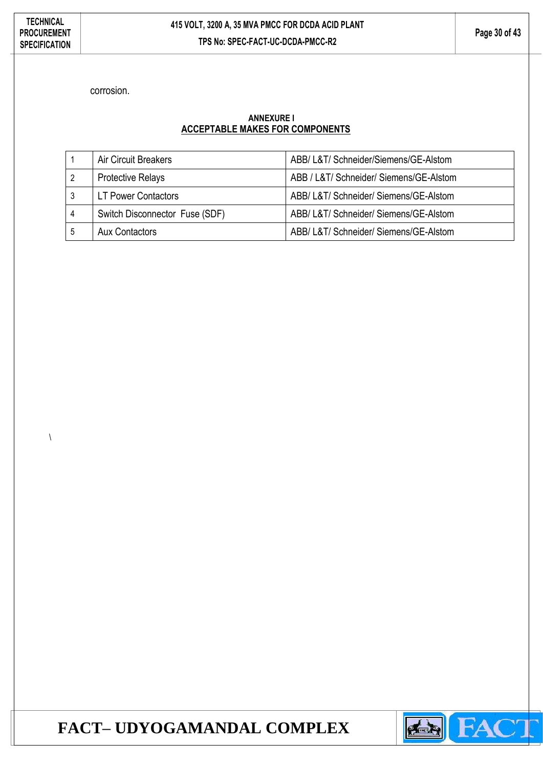$\lambda$ 

corrosion.

#### **ANNEXURE I ACCEPTABLE MAKES FOR COMPONENTS**

|                | Air Circuit Breakers           | ABB/ L&T/ Schneider/Siemens/GE-Alstom   |
|----------------|--------------------------------|-----------------------------------------|
| $\overline{2}$ | <b>Protective Relays</b>       | ABB / L&T/ Schneider/ Siemens/GE-Alstom |
| 3              | <b>LT Power Contactors</b>     | ABB/ L&T/ Schneider/ Siemens/GE-Alstom  |
| 4              | Switch Disconnector Fuse (SDF) | ABB/ L&T/ Schneider/ Siemens/GE-Alstom  |
| 5              | Aux Contactors                 | ABB/ L&T/ Schneider/ Siemens/GE-Alstom  |

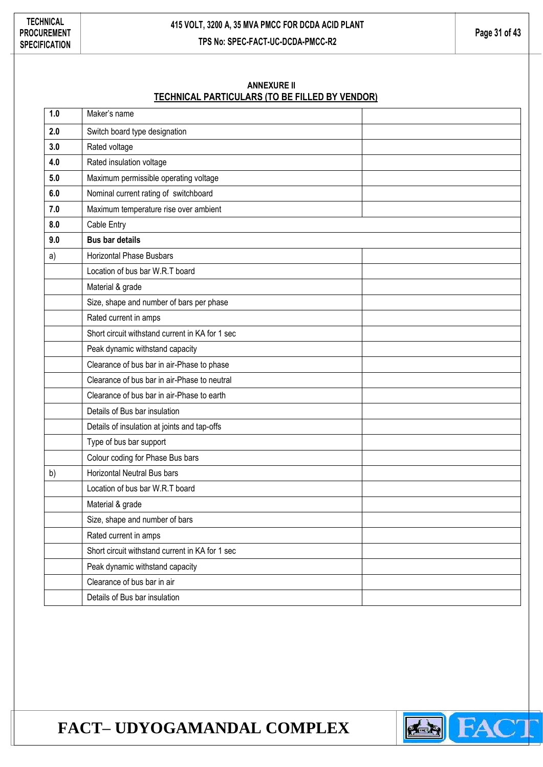#### **ANNEXURE II TECHNICAL PARTICULARS (TO BE FILLED BY VENDOR)**

| 1.0 | Maker's name                                    |
|-----|-------------------------------------------------|
| 2.0 | Switch board type designation                   |
| 3.0 | Rated voltage                                   |
| 4.0 | Rated insulation voltage                        |
| 5.0 | Maximum permissible operating voltage           |
| 6.0 | Nominal current rating of switchboard           |
| 7.0 | Maximum temperature rise over ambient           |
| 8.0 | Cable Entry                                     |
| 9.0 | <b>Bus bar details</b>                          |
| a)  | <b>Horizontal Phase Busbars</b>                 |
|     | Location of bus bar W.R.T board                 |
|     | Material & grade                                |
|     | Size, shape and number of bars per phase        |
|     | Rated current in amps                           |
|     | Short circuit withstand current in KA for 1 sec |
|     | Peak dynamic withstand capacity                 |
|     | Clearance of bus bar in air-Phase to phase      |
|     | Clearance of bus bar in air-Phase to neutral    |
|     | Clearance of bus bar in air-Phase to earth      |
|     | Details of Bus bar insulation                   |
|     | Details of insulation at joints and tap-offs    |
|     | Type of bus bar support                         |
|     | Colour coding for Phase Bus bars                |
| b)  | Horizontal Neutral Bus bars                     |
|     | Location of bus bar W.R.T board                 |
|     | Material & grade                                |
|     | Size, shape and number of bars                  |
|     | Rated current in amps                           |
|     | Short circuit withstand current in KA for 1 sec |
|     | Peak dynamic withstand capacity                 |
|     | Clearance of bus bar in air                     |
|     | Details of Bus bar insulation                   |

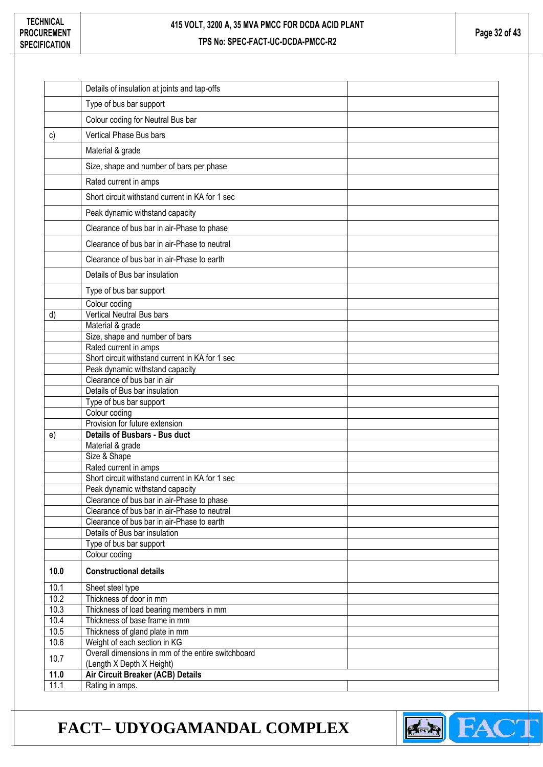|              | Details of insulation at joints and tap-offs                    |  |
|--------------|-----------------------------------------------------------------|--|
|              | Type of bus bar support                                         |  |
|              | Colour coding for Neutral Bus bar                               |  |
| c)           | Vertical Phase Bus bars                                         |  |
|              | Material & grade                                                |  |
|              | Size, shape and number of bars per phase                        |  |
|              | Rated current in amps                                           |  |
|              | Short circuit withstand current in KA for 1 sec                 |  |
|              | Peak dynamic withstand capacity                                 |  |
|              | Clearance of bus bar in air-Phase to phase                      |  |
|              |                                                                 |  |
|              | Clearance of bus bar in air-Phase to neutral                    |  |
|              | Clearance of bus bar in air-Phase to earth                      |  |
|              | Details of Bus bar insulation                                   |  |
|              | Type of bus bar support                                         |  |
|              | Colour coding                                                   |  |
| d)           | Vertical Neutral Bus bars                                       |  |
|              | Material & grade                                                |  |
|              | Size, shape and number of bars                                  |  |
|              | Rated current in amps                                           |  |
|              | Short circuit withstand current in KA for 1 sec                 |  |
|              | Peak dynamic withstand capacity<br>Clearance of bus bar in air  |  |
|              |                                                                 |  |
|              |                                                                 |  |
|              | Details of Bus bar insulation                                   |  |
|              | Type of bus bar support                                         |  |
|              | Colour coding                                                   |  |
| e)           | Provision for future extension<br>Details of Busbars - Bus duct |  |
|              |                                                                 |  |
|              | Material & grade<br>Size & Shape                                |  |
|              | Rated current in amps                                           |  |
|              | Short circuit withstand current in KA for 1 sec                 |  |
|              | Peak dynamic withstand capacity                                 |  |
|              | Clearance of bus bar in air-Phase to phase                      |  |
|              | Clearance of bus bar in air-Phase to neutral                    |  |
|              | Clearance of bus bar in air-Phase to earth                      |  |
|              | Details of Bus bar insulation                                   |  |
|              | Type of bus bar support                                         |  |
|              | Colour coding                                                   |  |
| 10.0         | <b>Constructional details</b>                                   |  |
| 10.1         | Sheet steel type                                                |  |
| 10.2         | Thickness of door in mm                                         |  |
| 10.3         | Thickness of load bearing members in mm                         |  |
| 10.4         | Thickness of base frame in mm                                   |  |
| 10.5         | Thickness of gland plate in mm                                  |  |
| 10.6         | Weight of each section in KG                                    |  |
| 10.7         | Overall dimensions in mm of the entire switchboard              |  |
| 11.0<br>11.1 | (Length X Depth X Height)<br>Air Circuit Breaker (ACB) Details  |  |

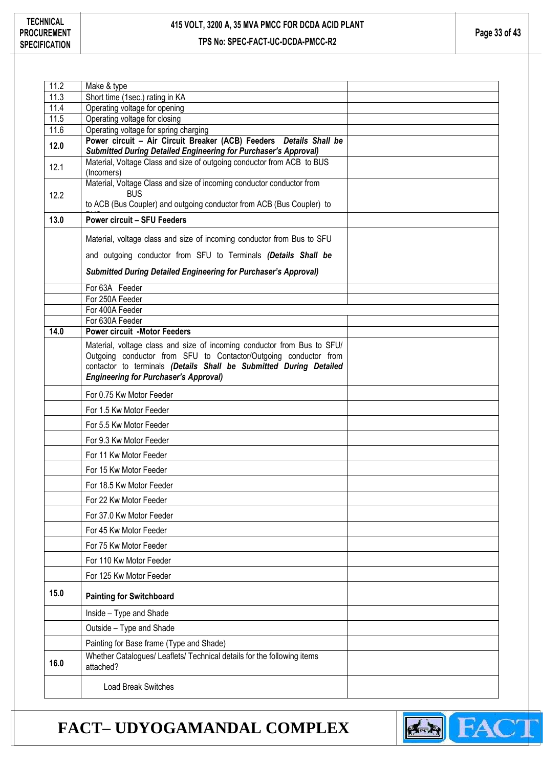| 11.2<br>Make & type<br>11.3<br>Short time (1sec.) rating in KA<br>11.4<br>Operating voltage for opening<br>11.5<br>Operating voltage for closing<br>11.6<br>Operating voltage for spring charging<br>Power circuit - Air Circuit Breaker (ACB) Feeders Details Shall be<br>12.0<br>Submitted During Detailed Engineering for Purchaser's Approval)<br>Material, Voltage Class and size of outgoing conductor from ACB to BUS<br>12.1<br>(Incomers)<br>Material, Voltage Class and size of incoming conductor conductor from |  |
|-----------------------------------------------------------------------------------------------------------------------------------------------------------------------------------------------------------------------------------------------------------------------------------------------------------------------------------------------------------------------------------------------------------------------------------------------------------------------------------------------------------------------------|--|
|                                                                                                                                                                                                                                                                                                                                                                                                                                                                                                                             |  |
|                                                                                                                                                                                                                                                                                                                                                                                                                                                                                                                             |  |
|                                                                                                                                                                                                                                                                                                                                                                                                                                                                                                                             |  |
|                                                                                                                                                                                                                                                                                                                                                                                                                                                                                                                             |  |
|                                                                                                                                                                                                                                                                                                                                                                                                                                                                                                                             |  |
|                                                                                                                                                                                                                                                                                                                                                                                                                                                                                                                             |  |
|                                                                                                                                                                                                                                                                                                                                                                                                                                                                                                                             |  |
| <b>BUS</b><br>12.2<br>to ACB (Bus Coupler) and outgoing conductor from ACB (Bus Coupler) to                                                                                                                                                                                                                                                                                                                                                                                                                                 |  |
| 13.0<br><b>Power circuit - SFU Feeders</b>                                                                                                                                                                                                                                                                                                                                                                                                                                                                                  |  |
| Material, voltage class and size of incoming conductor from Bus to SFU                                                                                                                                                                                                                                                                                                                                                                                                                                                      |  |
| and outgoing conductor from SFU to Terminals (Details Shall be                                                                                                                                                                                                                                                                                                                                                                                                                                                              |  |
| <b>Submitted During Detailed Engineering for Purchaser's Approval)</b>                                                                                                                                                                                                                                                                                                                                                                                                                                                      |  |
| For 63A Feeder                                                                                                                                                                                                                                                                                                                                                                                                                                                                                                              |  |
| For 250A Feeder                                                                                                                                                                                                                                                                                                                                                                                                                                                                                                             |  |
| For 400A Feeder                                                                                                                                                                                                                                                                                                                                                                                                                                                                                                             |  |
| For 630A Feeder                                                                                                                                                                                                                                                                                                                                                                                                                                                                                                             |  |
| 14.0<br><b>Power circuit -Motor Feeders</b>                                                                                                                                                                                                                                                                                                                                                                                                                                                                                 |  |
| Material, voltage class and size of incoming conductor from Bus to SFU/<br>Outgoing conductor from SFU to Contactor/Outgoing conductor from<br>contactor to terminals (Details Shall be Submitted During Detailed<br><b>Engineering for Purchaser's Approval)</b>                                                                                                                                                                                                                                                           |  |
| For 0.75 Kw Motor Feeder                                                                                                                                                                                                                                                                                                                                                                                                                                                                                                    |  |
| For 1.5 Kw Motor Feeder                                                                                                                                                                                                                                                                                                                                                                                                                                                                                                     |  |
| For 5.5 Kw Motor Feeder                                                                                                                                                                                                                                                                                                                                                                                                                                                                                                     |  |
| For 9.3 Kw Motor Feeder                                                                                                                                                                                                                                                                                                                                                                                                                                                                                                     |  |
| For 11 Kw Motor Feeder                                                                                                                                                                                                                                                                                                                                                                                                                                                                                                      |  |
| For 15 Kw Motor Feeder                                                                                                                                                                                                                                                                                                                                                                                                                                                                                                      |  |
| For 18.5 Kw Motor Feeder                                                                                                                                                                                                                                                                                                                                                                                                                                                                                                    |  |
| For 22 Kw Motor Feeder                                                                                                                                                                                                                                                                                                                                                                                                                                                                                                      |  |
| For 37.0 Kw Motor Feeder                                                                                                                                                                                                                                                                                                                                                                                                                                                                                                    |  |
| For 45 Kw Motor Feeder                                                                                                                                                                                                                                                                                                                                                                                                                                                                                                      |  |
| For 75 Kw Motor Feeder                                                                                                                                                                                                                                                                                                                                                                                                                                                                                                      |  |
| For 110 Kw Motor Feeder                                                                                                                                                                                                                                                                                                                                                                                                                                                                                                     |  |
| For 125 Kw Motor Feeder                                                                                                                                                                                                                                                                                                                                                                                                                                                                                                     |  |
| 15.0<br><b>Painting for Switchboard</b>                                                                                                                                                                                                                                                                                                                                                                                                                                                                                     |  |
| Inside - Type and Shade                                                                                                                                                                                                                                                                                                                                                                                                                                                                                                     |  |
| Outside - Type and Shade                                                                                                                                                                                                                                                                                                                                                                                                                                                                                                    |  |
| Painting for Base frame (Type and Shade)                                                                                                                                                                                                                                                                                                                                                                                                                                                                                    |  |
| Whether Catalogues/ Leaflets/ Technical details for the following items<br>16.0<br>attached?                                                                                                                                                                                                                                                                                                                                                                                                                                |  |
| <b>Load Break Switches</b>                                                                                                                                                                                                                                                                                                                                                                                                                                                                                                  |  |

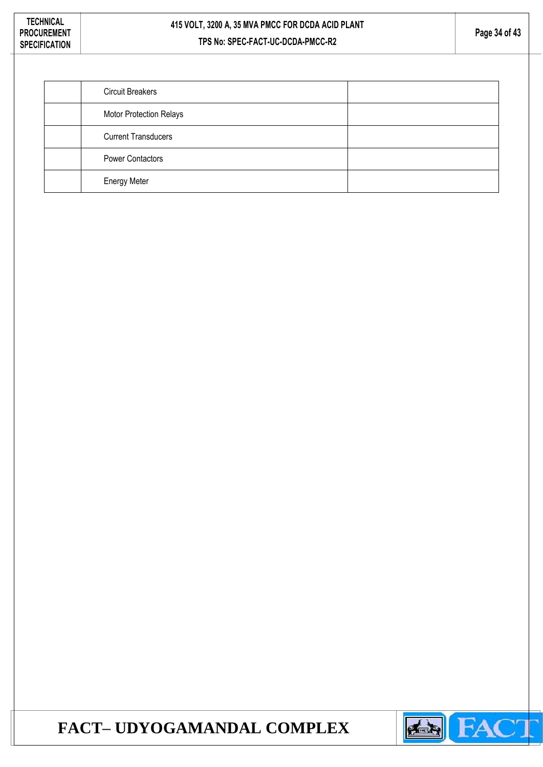| <b>Circuit Breakers</b>    |  |
|----------------------------|--|
| Motor Protection Relays    |  |
| <b>Current Transducers</b> |  |
| <b>Power Contactors</b>    |  |
| <b>Energy Meter</b>        |  |

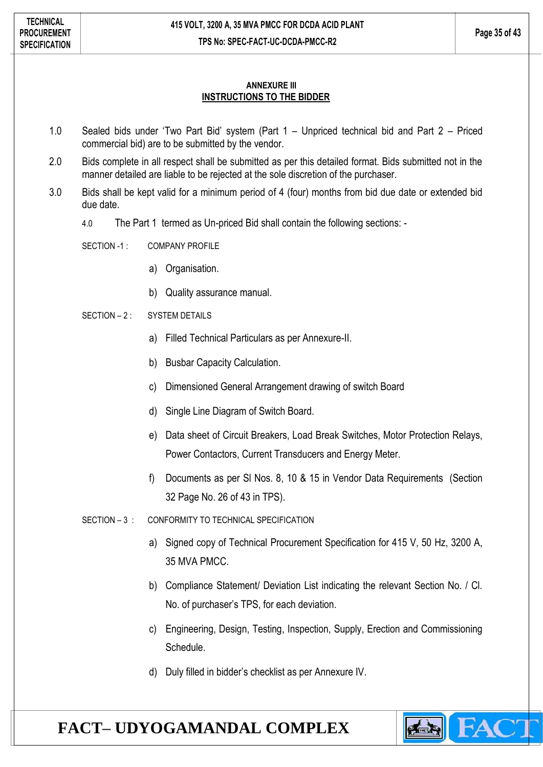#### **ANNEXURE III INSTRUCTIONS TO THE BIDDER**

- 1.0 Sealed bids under 'Two Part Bid' system (Part 1 Unpriced technical bid and Part 2 Priced commercial bid) are to be submitted by the vendor.
- 2.0 Bids complete in all respect shall be submitted as per this detailed format. Bids submitted not in the manner detailed are liable to be rejected at the sole discretion of the purchaser.
- 3.0 Bids shall be kept valid for a minimum period of 4 (four) months from bid due date or extended bid due date.
	- 4.0 The Part 1 termed as Un-priced Bid shall contain the following sections: -
	- SECTION -1 : COMPANY PROFILE
		- a) Organisation.
		- b) Quality assurance manual.
	- $SFCITION 2$  : SYSTEM DETAILS
		- a) Filled Technical Particulars as per Annexure-II.
		- b) Busbar Capacity Calculation.
		- c) Dimensioned General Arrangement drawing of switch Board
		- d) Single Line Diagram of Switch Board.
		- e) Data sheet of Circuit Breakers, Load Break Switches, Motor Protection Relays, Power Contactors, Current Transducers and Energy Meter.
		- f) Documents as per Sl Nos. 8, 10 & 15 in Vendor Data Requirements (Section 32 Page No. 26 of 43 in TPS).
	- SECTION 3 : CONFORMITY TO TECHNICAL SPECIFICATION
		- a) Signed copy of Technical Procurement Specification for 415 V, 50 Hz, 3200 A, 35 MVA PMCC.
		- b) Compliance Statement/ Deviation List indicating the relevant Section No. / Cl. No. of purchaser's TPS, for each deviation.
		- c) Engineering, Design, Testing, Inspection, Supply, Erection and Commissioning **Schedule**
		- d) Duly filled in bidder's checklist as per Annexure IV.

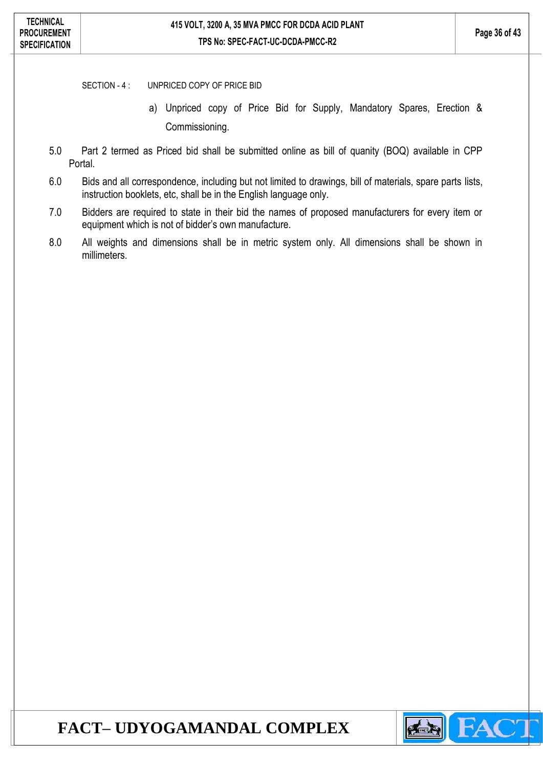SECTION - 4 : UNPRICED COPY OF PRICE BID

- a) Unpriced copy of Price Bid for Supply, Mandatory Spares, Erection & Commissioning.
- 5.0 Part 2 termed as Priced bid shall be submitted online as bill of quanity (BOQ) available in CPP Portal.
- 6.0 Bids and all correspondence, including but not limited to drawings, bill of materials, spare parts lists, instruction booklets, etc, shall be in the English language only.
- 7.0 Bidders are required to state in their bid the names of proposed manufacturers for every item or equipment which is not of bidder's own manufacture.
- 8.0 All weights and dimensions shall be in metric system only. All dimensions shall be shown in millimeters.

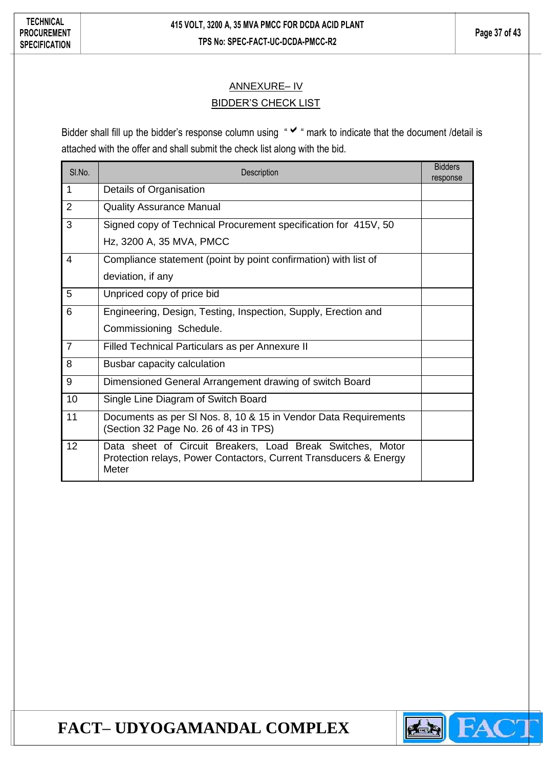### ANNEXURE– IV **BIDDER'S CHECK LIST**

Bidder shall fill up the bidder's response column using " v " mark to indicate that the document /detail is attached with the offer and shall submit the check list along with the bid.

| SI.No.         | Description                                                                                                                              | <b>Bidders</b><br>response |
|----------------|------------------------------------------------------------------------------------------------------------------------------------------|----------------------------|
| 1              | Details of Organisation                                                                                                                  |                            |
| $\overline{2}$ | <b>Quality Assurance Manual</b>                                                                                                          |                            |
| 3              | Signed copy of Technical Procurement specification for 415V, 50                                                                          |                            |
|                | Hz, 3200 A, 35 MVA, PMCC                                                                                                                 |                            |
| 4              | Compliance statement (point by point confirmation) with list of                                                                          |                            |
|                | deviation, if any                                                                                                                        |                            |
| 5              | Unpriced copy of price bid                                                                                                               |                            |
| 6              | Engineering, Design, Testing, Inspection, Supply, Erection and                                                                           |                            |
|                | Commissioning Schedule.                                                                                                                  |                            |
| $\overline{7}$ | Filled Technical Particulars as per Annexure II                                                                                          |                            |
| 8              | Busbar capacity calculation                                                                                                              |                            |
| 9              | Dimensioned General Arrangement drawing of switch Board                                                                                  |                            |
| 10             | Single Line Diagram of Switch Board                                                                                                      |                            |
| 11             | Documents as per SI Nos. 8, 10 & 15 in Vendor Data Requirements<br>(Section 32 Page No. 26 of 43 in TPS)                                 |                            |
| 12             | Data sheet of Circuit Breakers, Load Break Switches, Motor<br>Protection relays, Power Contactors, Current Transducers & Energy<br>Meter |                            |

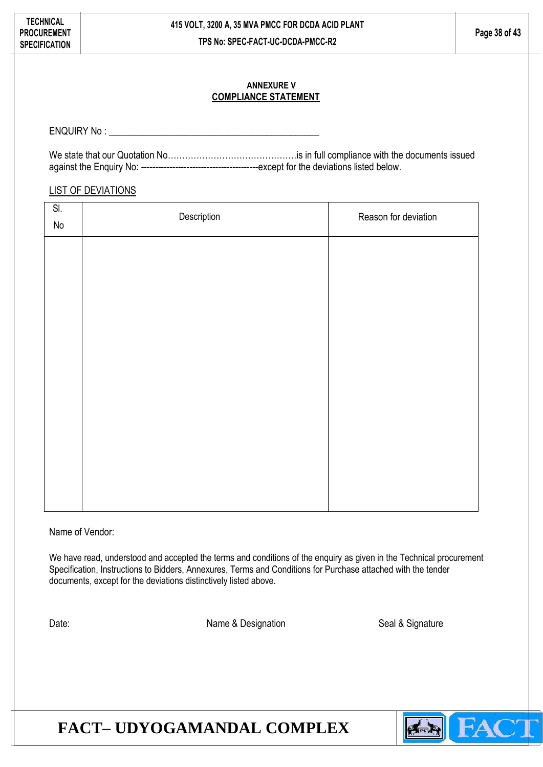#### **ANNEXURE V COMPLIANCE STATEMENT**

ENQUIRY No : \_\_\_\_\_\_\_\_\_\_\_\_\_\_\_\_\_\_\_\_\_\_\_\_\_\_\_\_\_\_\_\_\_\_\_\_\_\_\_\_\_\_\_\_

We state that our Quotation No…………………………………………is in full compliance with the documents issued against the Enquiry No: -----------------------------------------except for the deviations listed below.

#### LIST OF DEVIATIONS

| SI.<br>No | Description | Reason for deviation |  |  |
|-----------|-------------|----------------------|--|--|
|           |             |                      |  |  |
|           |             |                      |  |  |
|           |             |                      |  |  |
|           |             |                      |  |  |
|           |             |                      |  |  |
|           |             |                      |  |  |
|           |             |                      |  |  |
|           |             |                      |  |  |
|           |             |                      |  |  |

Name of Vendor:

We have read, understood and accepted the terms and conditions of the enquiry as given in the Technical procurement Specification, Instructions to Bidders, Annexures, Terms and Conditions for Purchase attached with the tender documents, except for the deviations distinctively listed above.

Date: Name & Designation Seal & Signature Seal & Signature

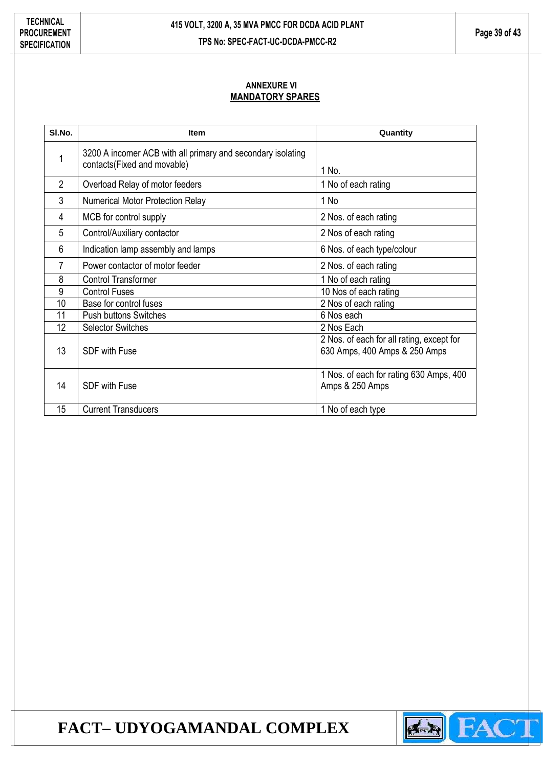#### **ANNEXURE VI MANDATORY SPARES**

| SI.No.          | <b>Item</b>                                                                                | Quantity                                                                   |  |
|-----------------|--------------------------------------------------------------------------------------------|----------------------------------------------------------------------------|--|
| 1               | 3200 A incomer ACB with all primary and secondary isolating<br>contacts(Fixed and movable) | 1 No.                                                                      |  |
| $\overline{2}$  | Overload Relay of motor feeders                                                            | 1 No of each rating                                                        |  |
| 3               | <b>Numerical Motor Protection Relay</b>                                                    | 1 No                                                                       |  |
| 4               | MCB for control supply                                                                     | 2 Nos. of each rating                                                      |  |
| 5               | Control/Auxiliary contactor                                                                | 2 Nos of each rating                                                       |  |
| 6               | Indication lamp assembly and lamps                                                         | 6 Nos. of each type/colour                                                 |  |
| 7               | Power contactor of motor feeder                                                            | 2 Nos. of each rating                                                      |  |
| 8               | <b>Control Transformer</b>                                                                 | 1 No of each rating                                                        |  |
| 9               | <b>Control Fuses</b>                                                                       | 10 Nos of each rating                                                      |  |
| $\overline{10}$ | Base for control fuses                                                                     | 2 Nos of each rating                                                       |  |
| 11              | <b>Push buttons Switches</b>                                                               | 6 Nos each                                                                 |  |
| 12              | <b>Selector Switches</b>                                                                   | 2 Nos Each                                                                 |  |
| 13              | <b>SDF with Fuse</b>                                                                       | 2 Nos. of each for all rating, except for<br>630 Amps, 400 Amps & 250 Amps |  |
| 14              | <b>SDF with Fuse</b>                                                                       | 1 Nos. of each for rating 630 Amps, 400<br>Amps & 250 Amps                 |  |
| 15              | <b>Current Transducers</b>                                                                 | 1 No of each type                                                          |  |

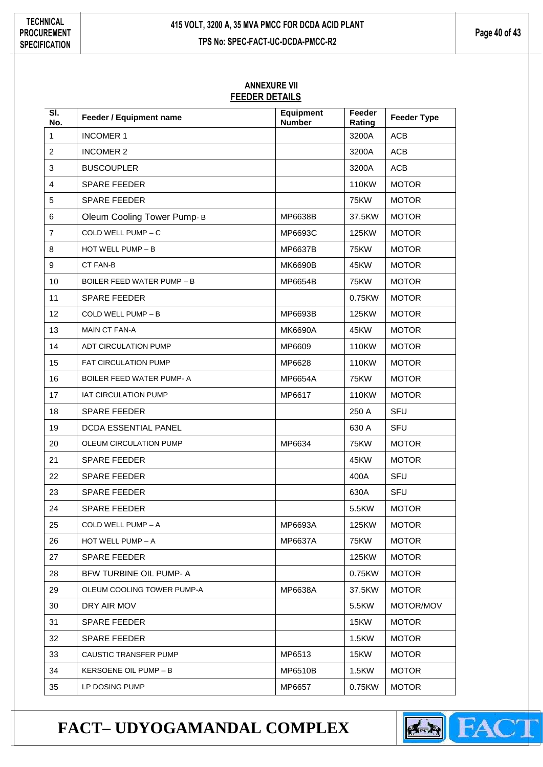#### **ANNEXURE VII FEEDER DETAILS**

| SI.<br>No.     | Feeder / Equipment name           | <b>Equipment</b><br><b>Number</b> | Feeder<br>Rating | <b>Feeder Type</b> |
|----------------|-----------------------------------|-----------------------------------|------------------|--------------------|
| 1              | <b>INCOMER 1</b>                  |                                   | 3200A            | <b>ACB</b>         |
| $\overline{2}$ | <b>INCOMER 2</b>                  |                                   | 3200A            | ACB                |
| 3              | <b>BUSCOUPLER</b>                 |                                   | 3200A            | ACB                |
| $\overline{4}$ | <b>SPARE FEEDER</b>               |                                   | 110KW            | <b>MOTOR</b>       |
| 5              | <b>SPARE FEEDER</b>               |                                   | <b>75KW</b>      | <b>MOTOR</b>       |
| 6              | Oleum Cooling Tower Pump-B        | MP6638B                           | 37.5KW           | <b>MOTOR</b>       |
| $\overline{7}$ | COLD WELL PUMP - C                | MP6693C                           | 125KW            | <b>MOTOR</b>       |
| 8              | HOT WELL PUMP - B                 | MP6637B                           | 75KW             | <b>MOTOR</b>       |
| 9              | CT FAN-B                          | <b>MK6690B</b>                    | 45KW             | <b>MOTOR</b>       |
| 10             | <b>BOILER FEED WATER PUMP - B</b> | MP6654B                           | <b>75KW</b>      | <b>MOTOR</b>       |
| 11             | <b>SPARE FEEDER</b>               |                                   | 0.75KW           | <b>MOTOR</b>       |
| 12             | COLD WELL PUMP - B                | MP6693B                           | 125KW            | <b>MOTOR</b>       |
| 13             | MAIN CT FAN-A                     | MK6690A                           | 45KW             | <b>MOTOR</b>       |
| 14             | ADT CIRCULATION PUMP              | MP6609                            | 110KW            | <b>MOTOR</b>       |
| 15             | <b>FAT CIRCULATION PUMP</b>       | MP6628                            | 110KW            | <b>MOTOR</b>       |
| 16             | <b>BOILER FEED WATER PUMP-A</b>   | MP6654A                           | 75KW             | <b>MOTOR</b>       |
| 17             | <b>IAT CIRCULATION PUMP</b>       | MP6617                            | 110KW            | <b>MOTOR</b>       |
| 18             | <b>SPARE FEEDER</b>               |                                   | 250 A            | <b>SFU</b>         |
| 19             | DCDA ESSENTIAL PANEL              |                                   | 630 A            | <b>SFU</b>         |
| 20             | OLEUM CIRCULATION PUMP            | MP6634                            | <b>75KW</b>      | <b>MOTOR</b>       |
| 21             | <b>SPARE FEEDER</b>               |                                   | 45KW             | <b>MOTOR</b>       |
| 22             | <b>SPARE FEEDER</b>               |                                   | 400A             | SFU                |
| 23             | <b>SPARE FEEDER</b>               |                                   | 630A             | <b>SFU</b>         |
| 24             | <b>SPARE FEEDER</b>               |                                   | 5.5KW            | <b>MOTOR</b>       |
| 25             | COLD WELL PUMP - A                | MP6693A                           | 125KW            | <b>MOTOR</b>       |
| 26             | HOT WELL PUMP $- A$               | MP6637A                           | <b>75KW</b>      | <b>MOTOR</b>       |
| 27             | <b>SPARE FEEDER</b>               |                                   | <b>125KW</b>     | <b>MOTOR</b>       |
| 28             | BFW TURBINE OIL PUMP- A           |                                   | 0.75KW           | <b>MOTOR</b>       |
| 29             | OLEUM COOLING TOWER PUMP-A        | MP6638A                           | 37.5KW           | <b>MOTOR</b>       |
| 30             | DRY AIR MOV                       |                                   | 5.5KW            | MOTOR/MOV          |
| 31             | <b>SPARE FEEDER</b>               |                                   | 15KW             | <b>MOTOR</b>       |
| 32             | <b>SPARE FEEDER</b>               |                                   | 1.5KW            | <b>MOTOR</b>       |
| 33             | CAUSTIC TRANSFER PUMP             | MP6513                            | 15KW             | <b>MOTOR</b>       |
| 34             | KERSOENE OIL PUMP - B             | MP6510B                           | 1.5KW            | <b>MOTOR</b>       |
| 35             | LP DOSING PUMP                    | MP6657                            | 0.75KW           | <b>MOTOR</b>       |

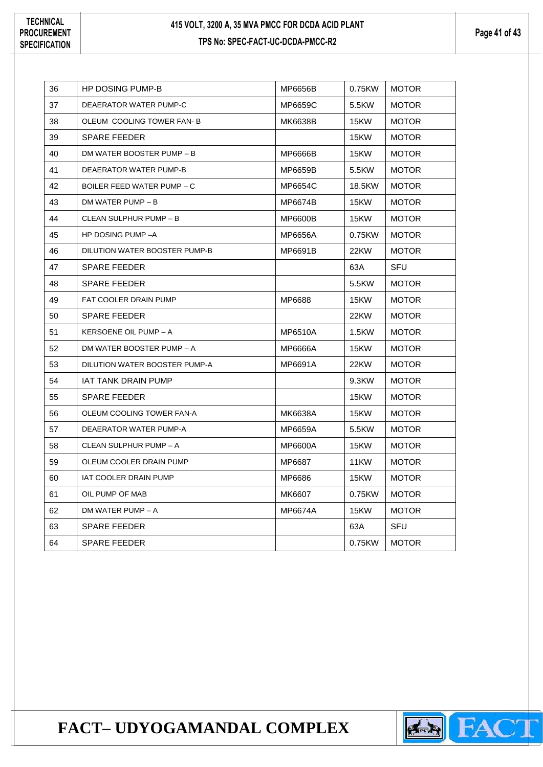**Page 41 of 43**

| 36 | <b>HP DOSING PUMP-B</b>       | MP6656B | 0.75KW | <b>MOTOR</b> |
|----|-------------------------------|---------|--------|--------------|
| 37 | DEAERATOR WATER PUMP-C        | MP6659C | 5.5KW  | <b>MOTOR</b> |
| 38 | OLEUM COOLING TOWER FAN-B     | MK6638B | 15KW   | <b>MOTOR</b> |
| 39 | <b>SPARE FEEDER</b>           |         | 15KW   | <b>MOTOR</b> |
| 40 | DM WATER BOOSTER PUMP - B     | MP6666B | 15KW   | <b>MOTOR</b> |
| 41 | DEAERATOR WATER PUMP-B        | MP6659B | 5.5KW  | <b>MOTOR</b> |
| 42 | BOILER FEED WATER PUMP – C    | MP6654C | 18.5KW | <b>MOTOR</b> |
| 43 | DM WATER PUMP - B             | MP6674B | 15KW   | <b>MOTOR</b> |
| 44 | CLEAN SULPHUR PUMP - B        | MP6600B | 15KW   | <b>MOTOR</b> |
| 45 | HP DOSING PUMP-A              | MP6656A | 0.75KW | <b>MOTOR</b> |
| 46 | DILUTION WATER BOOSTER PUMP-B | MP6691B | 22KW   | <b>MOTOR</b> |
| 47 | <b>SPARE FEEDER</b>           |         | 63A    | SFU          |
| 48 | <b>SPARE FEEDER</b>           |         | 5.5KW  | <b>MOTOR</b> |
| 49 | <b>FAT COOLER DRAIN PUMP</b>  | MP6688  | 15KW   | <b>MOTOR</b> |
| 50 | <b>SPARE FEEDER</b>           |         | 22KW   | <b>MOTOR</b> |
| 51 | KERSOENE OIL PUMP - A         | MP6510A | 1.5KW  | <b>MOTOR</b> |
| 52 | DM WATER BOOSTER PUMP - A     | MP6666A | 15KW   | <b>MOTOR</b> |
| 53 | DILUTION WATER BOOSTER PUMP-A | MP6691A | 22KW   | <b>MOTOR</b> |
| 54 | IAT TANK DRAIN PUMP           |         | 9.3KW  | <b>MOTOR</b> |
| 55 | <b>SPARE FEEDER</b>           |         | 15KW   | <b>MOTOR</b> |
| 56 | OLEUM COOLING TOWER FAN-A     | MK6638A | 15KW   | <b>MOTOR</b> |
| 57 | DEAERATOR WATER PUMP-A        | MP6659A | 5.5KW  | <b>MOTOR</b> |
| 58 | CLEAN SULPHUR PUMP - A        | MP6600A | 15KW   | <b>MOTOR</b> |
| 59 | OLEUM COOLER DRAIN PUMP       | MP6687  | 11KW   | <b>MOTOR</b> |
| 60 | IAT COOLER DRAIN PUMP         | MP6686  | 15KW   | <b>MOTOR</b> |
| 61 | OIL PUMP OF MAB               | MK6607  | 0.75KW | <b>MOTOR</b> |
| 62 | DM WATER PUMP - A             | MP6674A | 15KW   | <b>MOTOR</b> |
| 63 | <b>SPARE FEEDER</b>           |         | 63A    | <b>SFU</b>   |
| 64 | <b>SPARE FEEDER</b>           |         | 0.75KW | <b>MOTOR</b> |